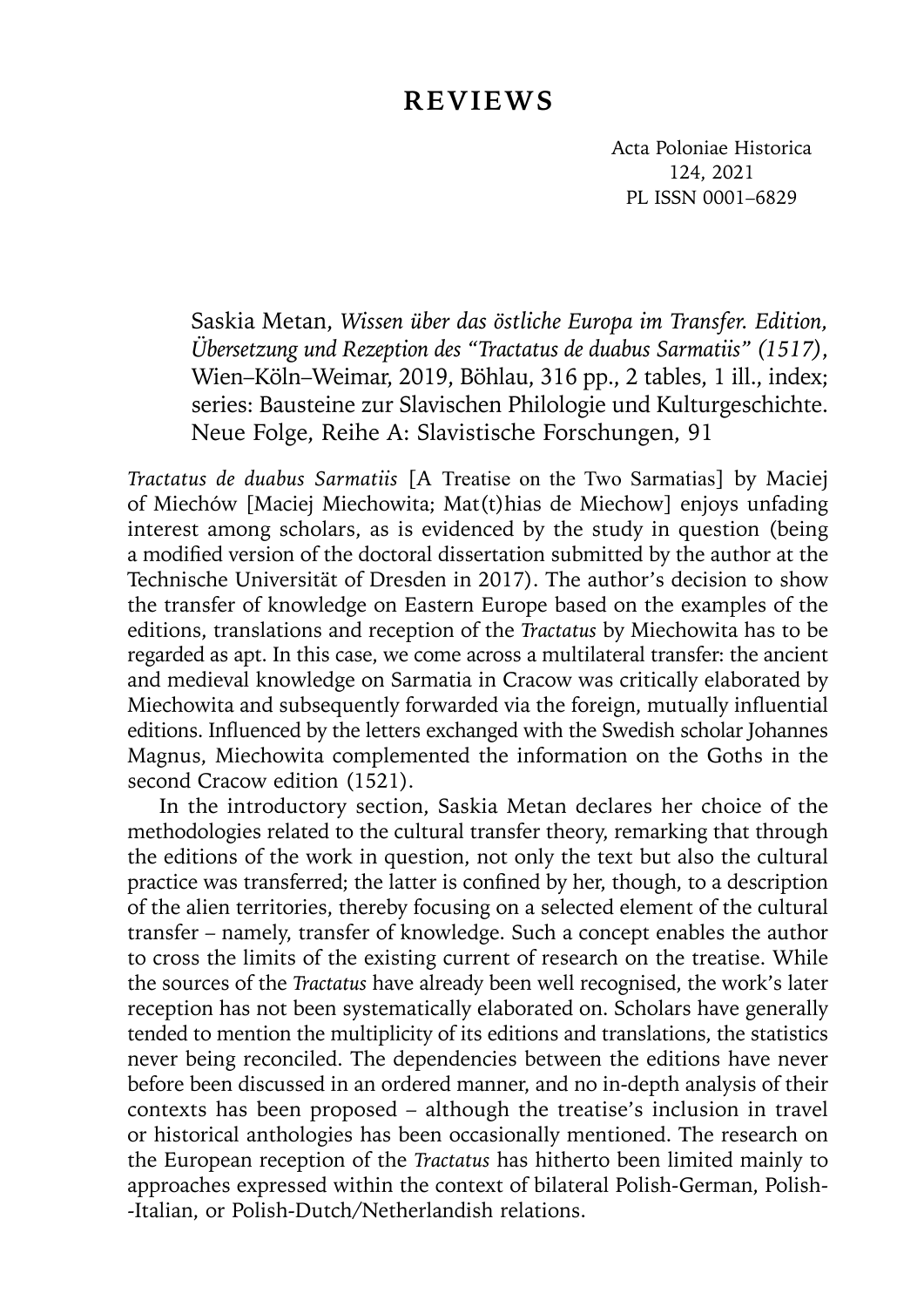## **REVIEWS**

Acta Poloniae Historica 124, 2021 PL ISSN 0001–6829

Saskia Metan, *Wissen über das östliche Europa im Transfer. Edition, Übersetzung und Rezeption des "Tractatus de duabus Sarmatiis" (1517)*, Wien–Köln–Weimar, 2019, Böhlau, 316 pp., 2 tables, 1 ill., index; series: Bausteine zur Slavischen Philologie und Kulturgeschichte. Neue Folge, Reihe A: Slavistische Forschungen, 91

*Tractatus de duabus Sarmatiis* [A Treatise on the Two Sarmatias] by Maciej of Miechów [Maciej Miechowita; Mat(t)hias de Miechow] enjoys unfading interest among scholars, as is evidenced by the study in question (being a modified version of the doctoral dissertation submitted by the author at the Technische Universität of Dresden in 2017). The author's decision to show the transfer of knowledge on Eastern Europe based on the examples of the editions, translations and reception of the *Tractatus* by Miechowita has to be regarded as apt. In this case, we come across a multilateral transfer: the ancient and medieval knowledge on Sarmatia in Cracow was critically elaborated by Miechowita and subsequently forwarded via the foreign, mutually influential editions. Influenced by the letters exchanged with the Swedish scholar Johannes Magnus, Miechowita complemented the information on the Goths in the second Cracow edition (1521).

In the introductory section, Saskia Metan declares her choice of the methodologies related to the cultural transfer theory, remarking that through the editions of the work in question, not only the text but also the cultural practice was transferred; the latter is confined by her, though, to a description of the alien territories, thereby focusing on a selected element of the cultural transfer – namely, transfer of knowledge. Such a concept enables the author to cross the limits of the existing current of research on the treatise. While the sources of the *Tractatus* have already been well recognised, the work's later reception has not been systematically elaborated on. Scholars have generally tended to mention the multiplicity of its editions and translations, the statistics never being reconciled. The dependencies between the editions have never before been discussed in an ordered manner, and no in-depth analysis of their contexts has been proposed – although the treatise's inclusion in travel or historical anthologies has been occasionally mentioned. The research on the European reception of the *Tractatus* has hitherto been limited mainly to approaches expressed within the context of bilateral Polish-German, Polish- -Italian, or Polish-Dutch/Netherlandish relations.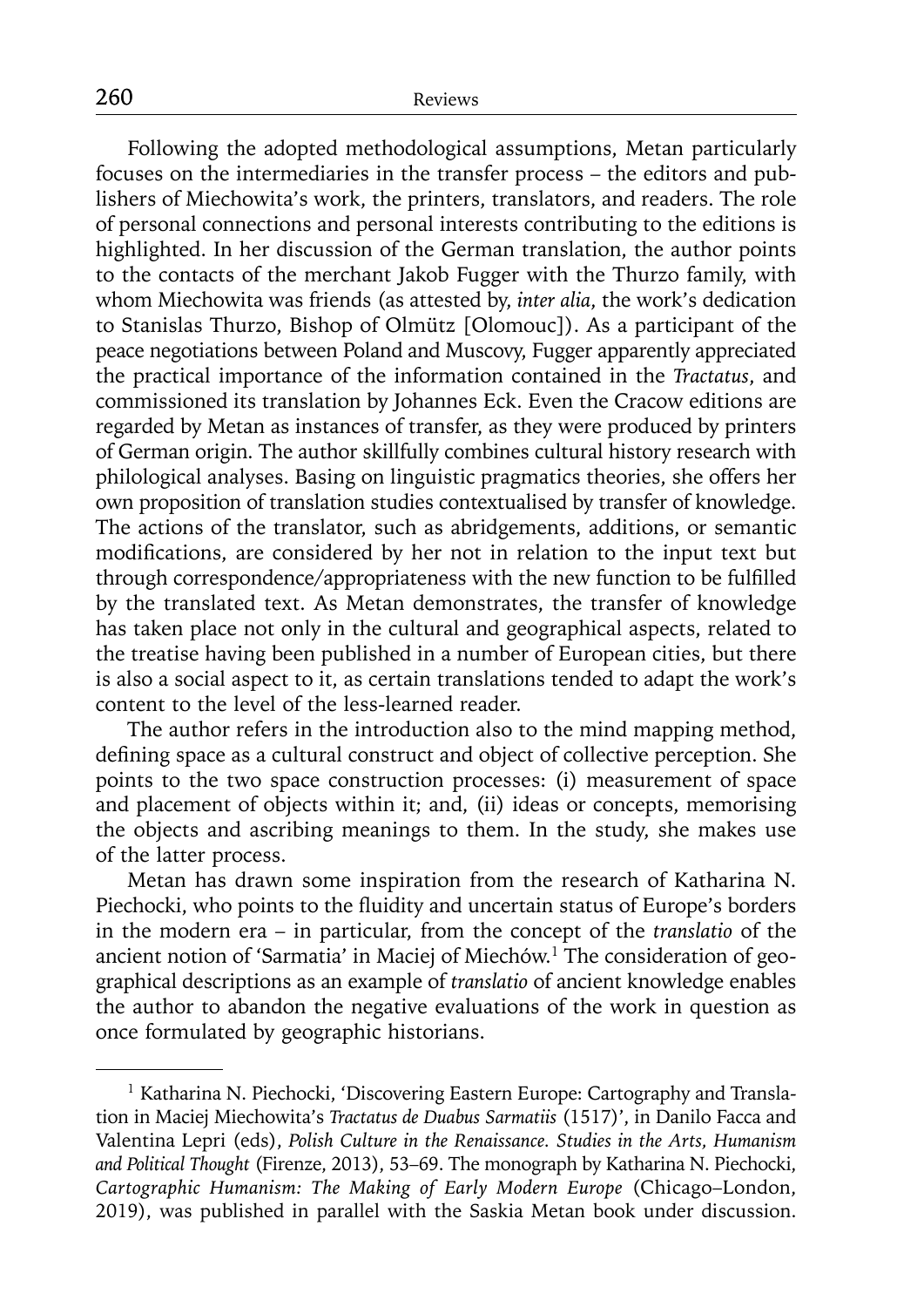Following the adopted methodological assumptions, Metan particularly focuses on the intermediaries in the transfer process – the editors and publishers of Miechowita's work, the printers, translators, and readers. The role of personal connections and personal interests contributing to the editions is highlighted. In her discussion of the German translation, the author points to the contacts of the merchant Jakob Fugger with the Thurzo family, with whom Miechowita was friends (as attested by, *inter alia*, the work's dedication to Stanislas Thurzo, Bishop of Olmütz [Olomouc]). As a participant of the peace negotiations between Poland and Muscovy, Fugger apparently appreciated the practical importance of the information contained in the *Tractatus*, and commissioned its translation by Johannes Eck. Even the Cracow editions are regarded by Metan as instances of transfer, as they were produced by printers of German origin. The author skillfully combines cultural history research with philological analyses. Basing on linguistic pragmatics theories, she offers her own proposition of translation studies contextualised by transfer of knowledge. The actions of the translator, such as abridgements, additions, or semantic modifications, are considered by her not in relation to the input text but through correspondence/appropriateness with the new function to be fulfilled by the translated text. As Metan demonstrates, the transfer of knowledge has taken place not only in the cultural and geographical aspects, related to the treatise having been published in a number of European cities, but there is also a social aspect to it, as certain translations tended to adapt the work's content to the level of the less-learned reader.

The author refers in the introduction also to the mind mapping method, defining space as a cultural construct and object of collective perception. She points to the two space construction processes: (i) measurement of space and placement of objects within it; and, (ii) ideas or concepts, memorising the objects and ascribing meanings to them. In the study, she makes use of the latter process.

Metan has drawn some inspiration from the research of Katharina N. Piechocki, who points to the fluidity and uncertain status of Europe's borders in the modern era – in particular, from the concept of the *translatio* of the ancient notion of 'Sarmatia' in Maciej of Miechów.1 The consideration of geographical descriptions as an example of *translatio* of ancient knowledge enables the author to abandon the negative evaluations of the work in question as once formulated by geographic historians.

<sup>&</sup>lt;sup>1</sup> Katharina N. Piechocki, 'Discovering Eastern Europe: Cartography and Translation in Maciej Miechowita's *Tractatus de Duabus Sarmatiis* (1517)', in Danilo Facca and Valentina Lepri (eds), *Polish Culture in the Renaissance. Studies in the Arts, Humanism and Political Thought* (Firenze, 2013), 53–69. The monograph by Katharina N. Piechocki, *Cartographic Humanism: The Making of Early Modern Europe* (Chicago–London, 2019), was published in parallel with the Saskia Metan book under discussion.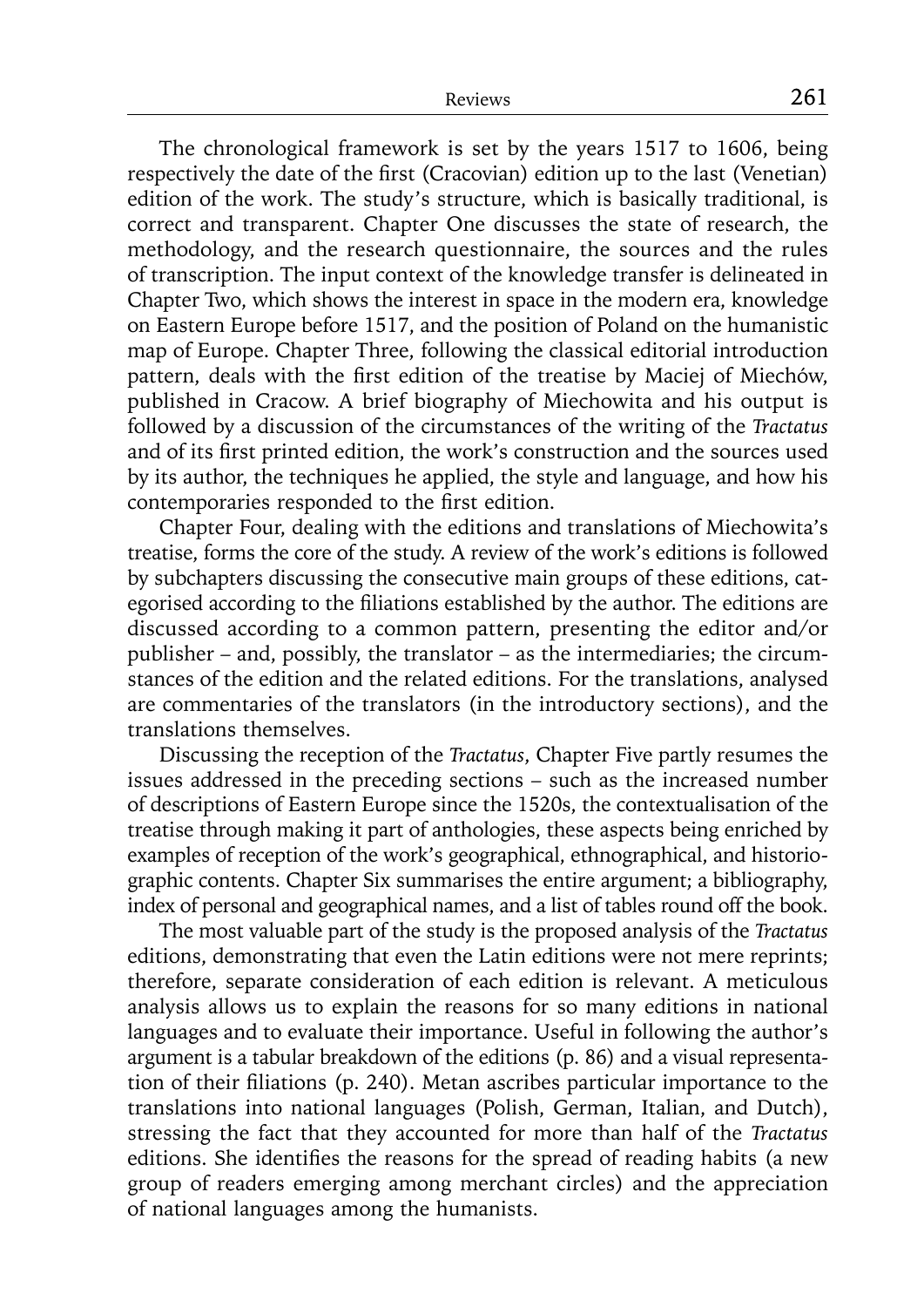The chronological framework is set by the years 1517 to 1606, being respectively the date of the first (Cracovian) edition up to the last (Venetian) edition of the work. The study's structure, which is basically traditional, is correct and transparent. Chapter One discusses the state of research, the methodology, and the research questionnaire, the sources and the rules of transcription. The input context of the knowledge transfer is delineated in Chapter Two, which shows the interest in space in the modern era, knowledge on Eastern Europe before 1517, and the position of Poland on the humanistic map of Europe. Chapter Three, following the classical editorial introduction pattern, deals with the first edition of the treatise by Maciej of Miechów, published in Cracow. A brief biography of Miechowita and his output is followed by a discussion of the circumstances of the writing of the *Tractatus* and of its first printed edition, the work's construction and the sources used by its author, the techniques he applied, the style and language, and how his contemporaries responded to the first edition.

Chapter Four, dealing with the editions and translations of Miechowita's treatise, forms the core of the study. A review of the work's editions is followed by subchapters discussing the consecutive main groups of these editions, categorised according to the filiations established by the author. The editions are discussed according to a common pattern, presenting the editor and/or publisher – and, possibly, the translator – as the intermediaries; the circumstances of the edition and the related editions. For the translations, analysed are commentaries of the translators (in the introductory sections), and the translations themselves.

Discussing the reception of the *Tractatus*, Chapter Five partly resumes the issues addressed in the preceding sections – such as the increased number of descriptions of Eastern Europe since the 1520s, the contextualisation of the treatise through making it part of anthologies, these aspects being enriched by examples of reception of the work's geographical, ethnographical, and historiographic contents. Chapter Six summarises the entire argument; a bibliography, index of personal and geographical names, and a list of tables round off the book.

The most valuable part of the study is the proposed analysis of the *Tractatus* editions, demonstrating that even the Latin editions were not mere reprints; therefore, separate consideration of each edition is relevant. A meticulous analysis allows us to explain the reasons for so many editions in national languages and to evaluate their importance. Useful in following the author's argument is a tabular breakdown of the editions (p. 86) and a visual representation of their filiations (p. 240). Metan ascribes particular importance to the translations into national languages (Polish, German, Italian, and Dutch), stressing the fact that they accounted for more than half of the *Tractatus* editions. She identifies the reasons for the spread of reading habits (a new group of readers emerging among merchant circles) and the appreciation of national languages among the humanists.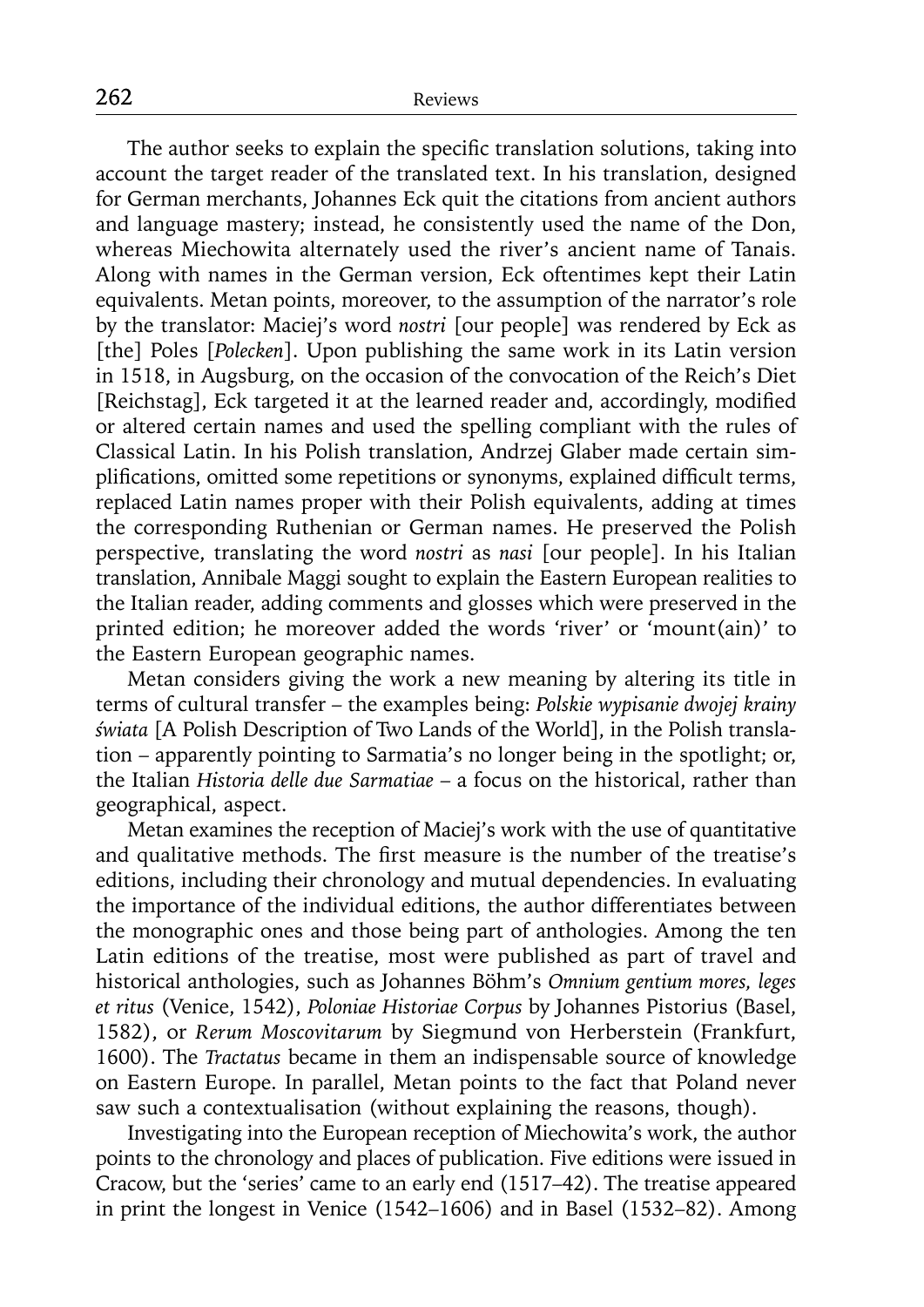The author seeks to explain the specific translation solutions, taking into account the target reader of the translated text. In his translation, designed for German merchants, Johannes Eck quit the citations from ancient authors and language mastery; instead, he consistently used the name of the Don, whereas Miechowita alternately used the river's ancient name of Tanais. Along with names in the German version, Eck oftentimes kept their Latin equivalents. Metan points, moreover, to the assumption of the narrator's role by the translator: Maciej's word *nostri* [our people] was rendered by Eck as [the] Poles [*Polecken*]. Upon publishing the same work in its Latin version in 1518, in Augsburg, on the occasion of the convocation of the Reich's Diet [Reichstag], Eck targeted it at the learned reader and, accordingly, modified or altered certain names and used the spelling compliant with the rules of Classical Latin. In his Polish translation, Andrzej Glaber made certain simplifications, omitted some repetitions or synonyms, explained difficult terms, replaced Latin names proper with their Polish equivalents, adding at times the corresponding Ruthenian or German names. He preserved the Polish perspective, translating the word *nostri* as *nasi* [our people]. In his Italian translation, Annibale Maggi sought to explain the Eastern European realities to the Italian reader, adding comments and glosses which were preserved in the printed edition; he moreover added the words 'river' or 'mount(ain)' to the Eastern European geographic names.

Metan considers giving the work a new meaning by altering its title in terms of cultural transfer – the examples being: *Polskie wypisanie dwojej krainy świata* [A Polish Description of Two Lands of the World], in the Polish translation – apparently pointing to Sarmatia's no longer being in the spotlight; or, the Italian *Historia delle due Sarmatiae* – a focus on the historical, rather than geographical, aspect.

Metan examines the reception of Maciej's work with the use of quantitative and qualitative methods. The first measure is the number of the treatise's editions, including their chronology and mutual dependencies. In evaluating the importance of the individual editions, the author differentiates between the monographic ones and those being part of anthologies. Among the ten Latin editions of the treatise, most were published as part of travel and historical anthologies, such as Johannes Böhm's *Omnium gentium mores, leges et ritus* (Venice, 1542), *Poloniae Historiae Corpus* by Johannes Pistorius (Basel, 1582), or *Rerum Moscovitarum* by Siegmund von Herberstein (Frankfurt, 1600). The *Tractatus* became in them an indispensable source of knowledge on Eastern Europe. In parallel, Metan points to the fact that Poland never saw such a contextualisation (without explaining the reasons, though).

Investigating into the European reception of Miechowita's work, the author points to the chronology and places of publication. Five editions were issued in Cracow, but the 'series' came to an early end (1517–42). The treatise appeared in print the longest in Venice (1542–1606) and in Basel (1532–82). Among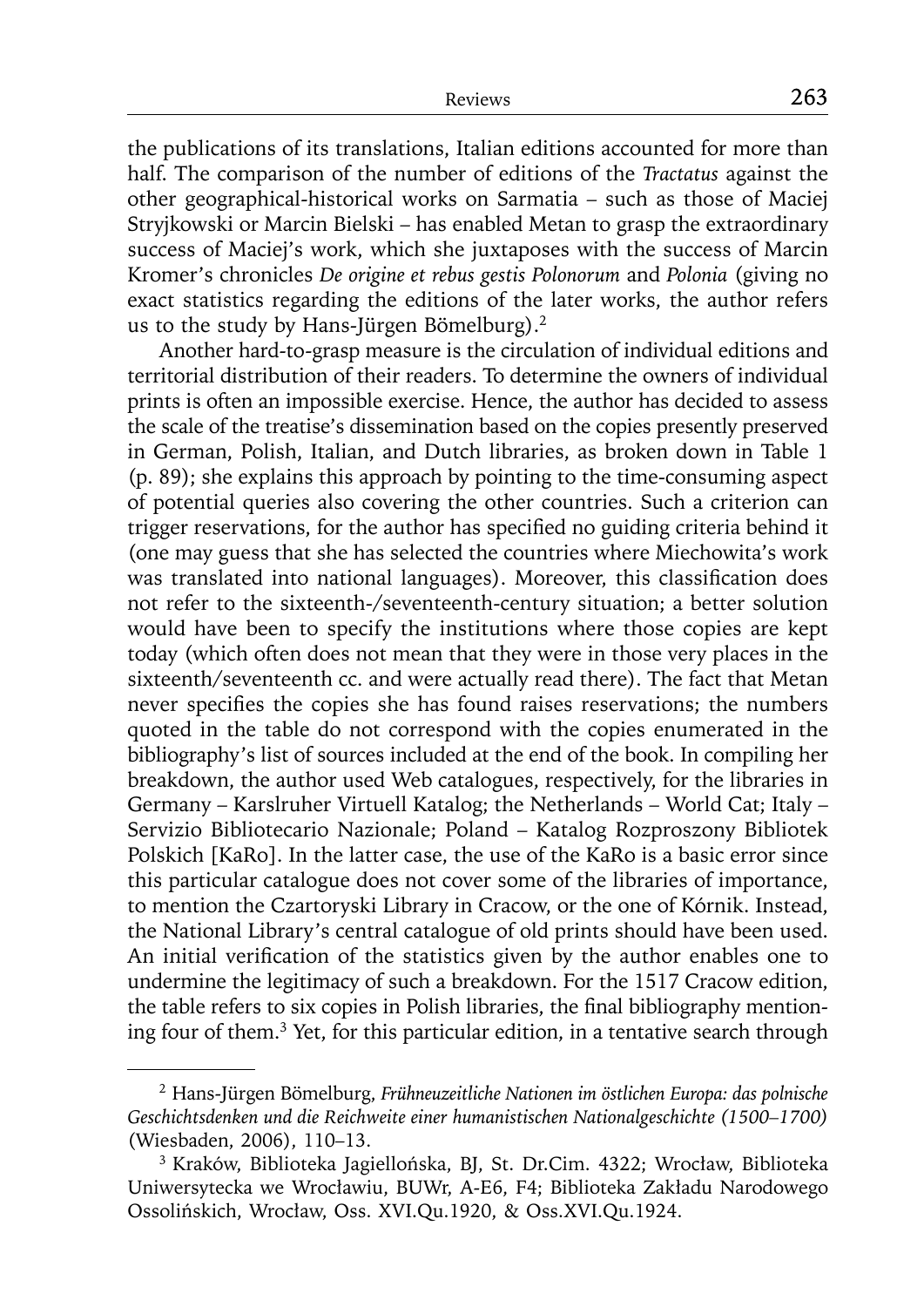the publications of its translations, Italian editions accounted for more than half. The comparison of the number of editions of the *Tractatus* against the other geographical-historical works on Sarmatia – such as those of Maciej Stryjkowski or Marcin Bielski – has enabled Metan to grasp the extraordinary success of Maciej's work, which she juxtaposes with the success of Marcin Kromer's chronicles *De origine et rebus gestis Polonorum* and *Polonia* (giving no exact statistics regarding the editions of the later works, the author refers us to the study by Hans-Jürgen Bömelburg).2

Another hard-to-grasp measure is the circulation of individual editions and territorial distribution of their readers. To determine the owners of individual prints is often an impossible exercise. Hence, the author has decided to assess the scale of the treatise's dissemination based on the copies presently preserved in German, Polish, Italian, and Dutch libraries, as broken down in Table 1 (p. 89); she explains this approach by pointing to the time-consuming aspect of potential queries also covering the other countries. Such a criterion can trigger reservations, for the author has specified no guiding criteria behind it (one may guess that she has selected the countries where Miechowita's work was translated into national languages). Moreover, this classification does not refer to the sixteenth-/seventeenth-century situation; a better solution would have been to specify the institutions where those copies are kept today (which often does not mean that they were in those very places in the sixteenth/seventeenth cc. and were actually read there). The fact that Metan never specifies the copies she has found raises reservations; the numbers quoted in the table do not correspond with the copies enumerated in the bibliography's list of sources included at the end of the book. In compiling her breakdown, the author used Web catalogues, respectively, for the libraries in Germany – Karslruher Virtuell Katalog; the Netherlands – World Cat; Italy – Servizio Bibliotecario Nazionale; Poland – Katalog Rozproszony Bibliotek Polskich [KaRo]. In the latter case, the use of the KaRo is a basic error since this particular catalogue does not cover some of the libraries of importance, to mention the Czartoryski Library in Cracow, or the one of Kórnik. Instead, the National Library's central catalogue of old prints should have been used. An initial verification of the statistics given by the author enables one to undermine the legitimacy of such a breakdown. For the 1517 Cracow edition, the table refers to six copies in Polish libraries, the final bibliography mentioning four of them.3 Yet, for this particular edition, in a tentative search through

<sup>2</sup> Hans-Jürgen Bömelburg, *Frühneuzeitliche Nationen im östlichen Europa: das polnische Geschichtsdenken und die Reichweite einer humanistischen Nationalgeschichte (1500–1700)*  (Wiesbaden, 2006), 110–13.

<sup>3</sup> Kraków, Biblioteka Jagiellońska, BJ, St. Dr.Cim. 4322; Wrocław, Biblioteka Uniwersytecka we Wrocławiu, BUWr, A-E6, F4; Biblioteka Zakładu Narodowego Ossolińskich, Wrocław, Oss. XVI.Qu.1920, & Oss.XVI.Qu.1924.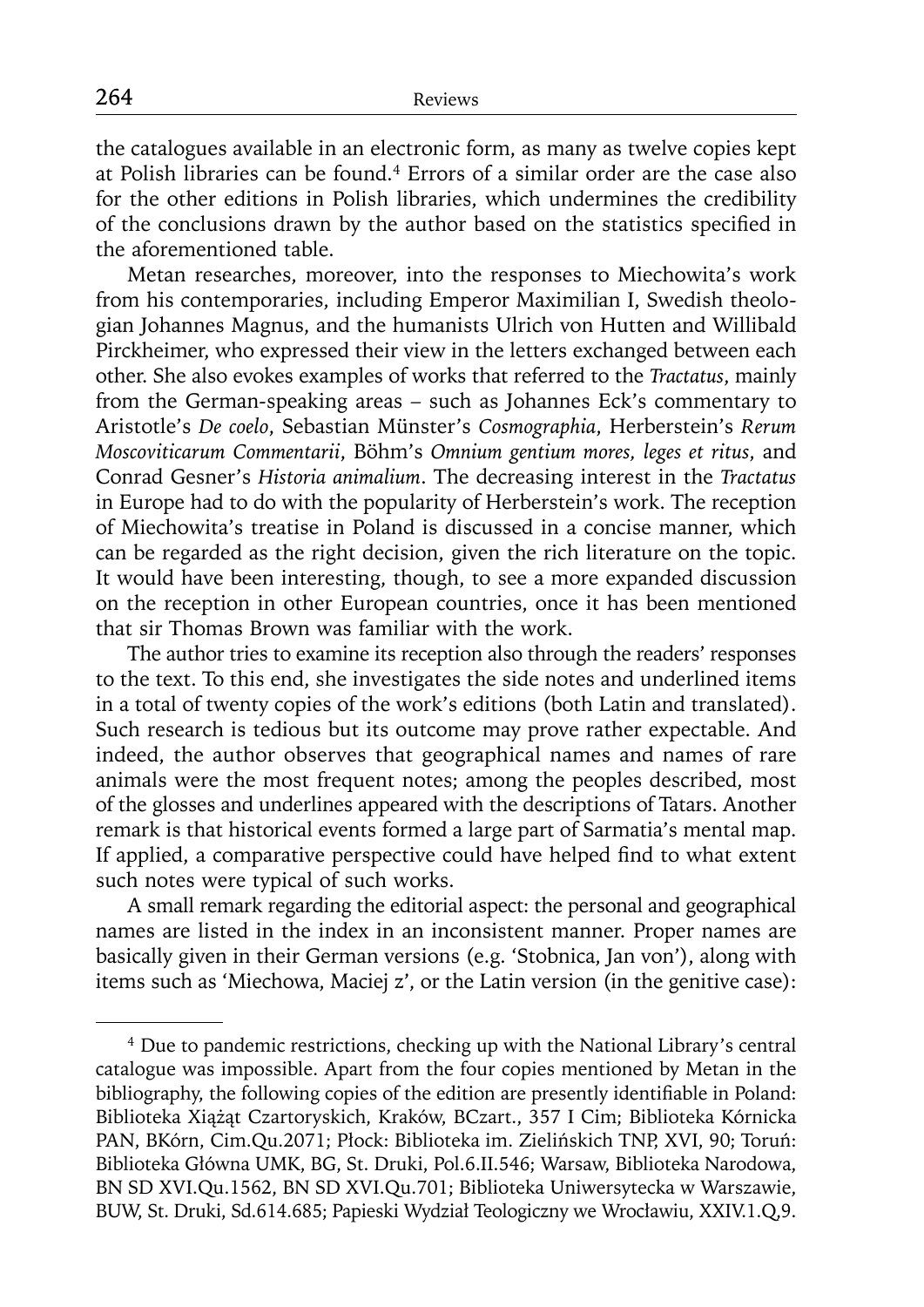the catalogues available in an electronic form, as many as twelve copies kept at Polish libraries can be found.4 Errors of a similar order are the case also for the other editions in Polish libraries, which undermines the credibility of the conclusions drawn by the author based on the statistics specified in the aforementioned table.

Metan researches, moreover, into the responses to Miechowita's work from his contemporaries, including Emperor Maximilian I, Swedish theologian Johannes Magnus, and the humanists Ulrich von Hutten and Willibald Pirckheimer, who expressed their view in the letters exchanged between each other. She also evokes examples of works that referred to the *Tractatus*, mainly from the German-speaking areas – such as Johannes Eck's commentary to Aristotle's *De coelo*, Sebastian Münster's *Cosmographia*, Herberstein's *Rerum Moscoviticarum Commentarii*, Böhm's *Omnium gentium mores, leges et ritus*, and Conrad Gesner's *Historia animalium*. The decreasing interest in the *Tractatus*  in Europe had to do with the popularity of Herberstein's work. The reception of Miechowita's treatise in Poland is discussed in a concise manner, which can be regarded as the right decision, given the rich literature on the topic. It would have been interesting, though, to see a more expanded discussion on the reception in other European countries, once it has been mentioned that sir Thomas Brown was familiar with the work.

The author tries to examine its reception also through the readers' responses to the text. To this end, she investigates the side notes and underlined items in a total of twenty copies of the work's editions (both Latin and translated). Such research is tedious but its outcome may prove rather expectable. And indeed, the author observes that geographical names and names of rare animals were the most frequent notes; among the peoples described, most of the glosses and underlines appeared with the descriptions of Tatars. Another remark is that historical events formed a large part of Sarmatia's mental map. If applied, a comparative perspective could have helped find to what extent such notes were typical of such works.

A small remark regarding the editorial aspect: the personal and geographical names are listed in the index in an inconsistent manner. Proper names are basically given in their German versions (e.g. 'Stobnica, Jan von'), along with items such as 'Miechowa, Maciej z', or the Latin version (in the genitive case):

<sup>&</sup>lt;sup>4</sup> Due to pandemic restrictions, checking up with the National Library's central catalogue was impossible. Apart from the four copies mentioned by Metan in the bibliography, the following copies of the edition are presently identifiable in Poland: Biblioteka Xiążąt Czartoryskich, Kraków, BCzart., 357 I Cim; Biblioteka Kórnicka PAN, BKórn, Cim.Qu.2071; Płock: Biblioteka im. Zielińskich TNP, XVI, 90; Toruń: Biblioteka Główna UMK, BG, St. Druki, Pol.6.II.546; Warsaw, Biblioteka Narodowa, BN SD XVI.Qu.1562, BN SD XVI.Qu.701; Biblioteka Uniwersytecka w Warszawie, BUW, St. Druki, Sd.614.685; Papieski Wydział Teologiczny we Wrocławiu, XXIV.1.Q,9.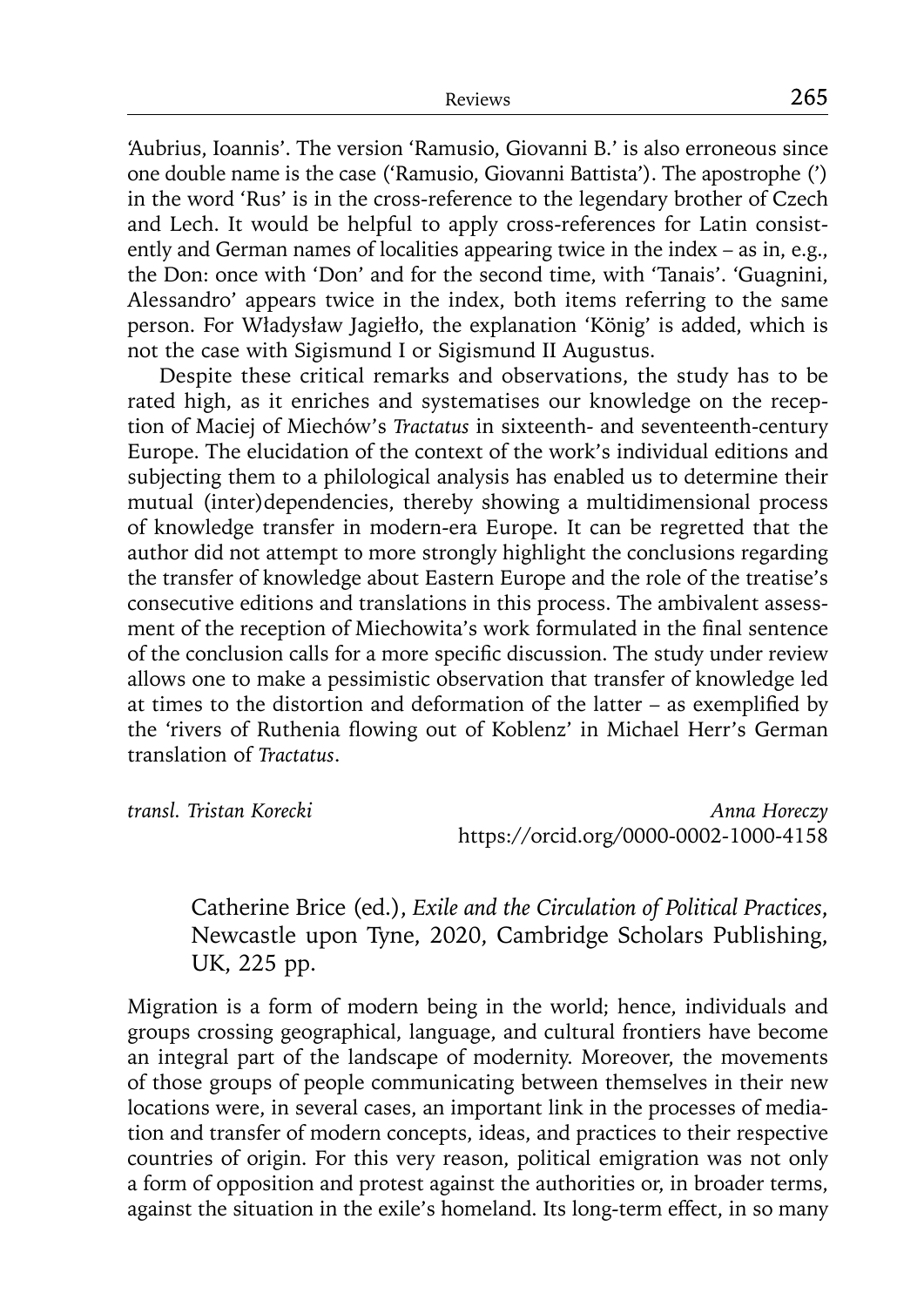'Aubrius, Ioannis'. The version 'Ramusio, Giovanni B.' is also erroneous since one double name is the case ('Ramusio, Giovanni Battista'). The apostrophe (') in the word 'Rus' is in the cross-reference to the legendary brother of Czech and Lech. It would be helpful to apply cross-references for Latin consistently and German names of localities appearing twice in the index – as in, e.g., the Don: once with 'Don' and for the second time, with 'Tanais'. 'Guagnini, Alessandro' appears twice in the index, both items referring to the same person. For Władysław Jagiełło, the explanation 'König' is added, which is not the case with Sigismund I or Sigismund II Augustus.

Despite these critical remarks and observations, the study has to be rated high, as it enriches and systematises our knowledge on the reception of Maciej of Miechów's *Tractatus* in sixteenth- and seventeenth-century Europe. The elucidation of the context of the work's individual editions and subjecting them to a philological analysis has enabled us to determine their mutual (inter)dependencies, thereby showing a multidimensional process of knowledge transfer in modern-era Europe. It can be regretted that the author did not attempt to more strongly highlight the conclusions regarding the transfer of knowledge about Eastern Europe and the role of the treatise's consecutive editions and translations in this process. The ambivalent assessment of the reception of Miechowita's work formulated in the final sentence of the conclusion calls for a more specific discussion. The study under review allows one to make a pessimistic observation that transfer of knowledge led at times to the distortion and deformation of the latter – as exemplified by the 'rivers of Ruthenia flowing out of Koblenz' in Michael Herr's German translation of *Tractatus*.

*transl. Tristan Korecki Anna Horeczy* https://orcid.org/0000-0002-1000-4158

Catherine Brice (ed.), *Exile and the Circulation of Political Practices*, Newcastle upon Tyne, 2020, Cambridge Scholars Publishing, UK, 225 pp.

Migration is a form of modern being in the world; hence, individuals and groups crossing geographical, language, and cultural frontiers have become an integral part of the landscape of modernity. Moreover, the movements of those groups of people communicating between themselves in their new locations were, in several cases, an important link in the processes of mediation and transfer of modern concepts, ideas, and practices to their respective countries of origin. For this very reason, political emigration was not only a form of opposition and protest against the authorities or, in broader terms, against the situation in the exile's homeland. Its long-term effect, in so many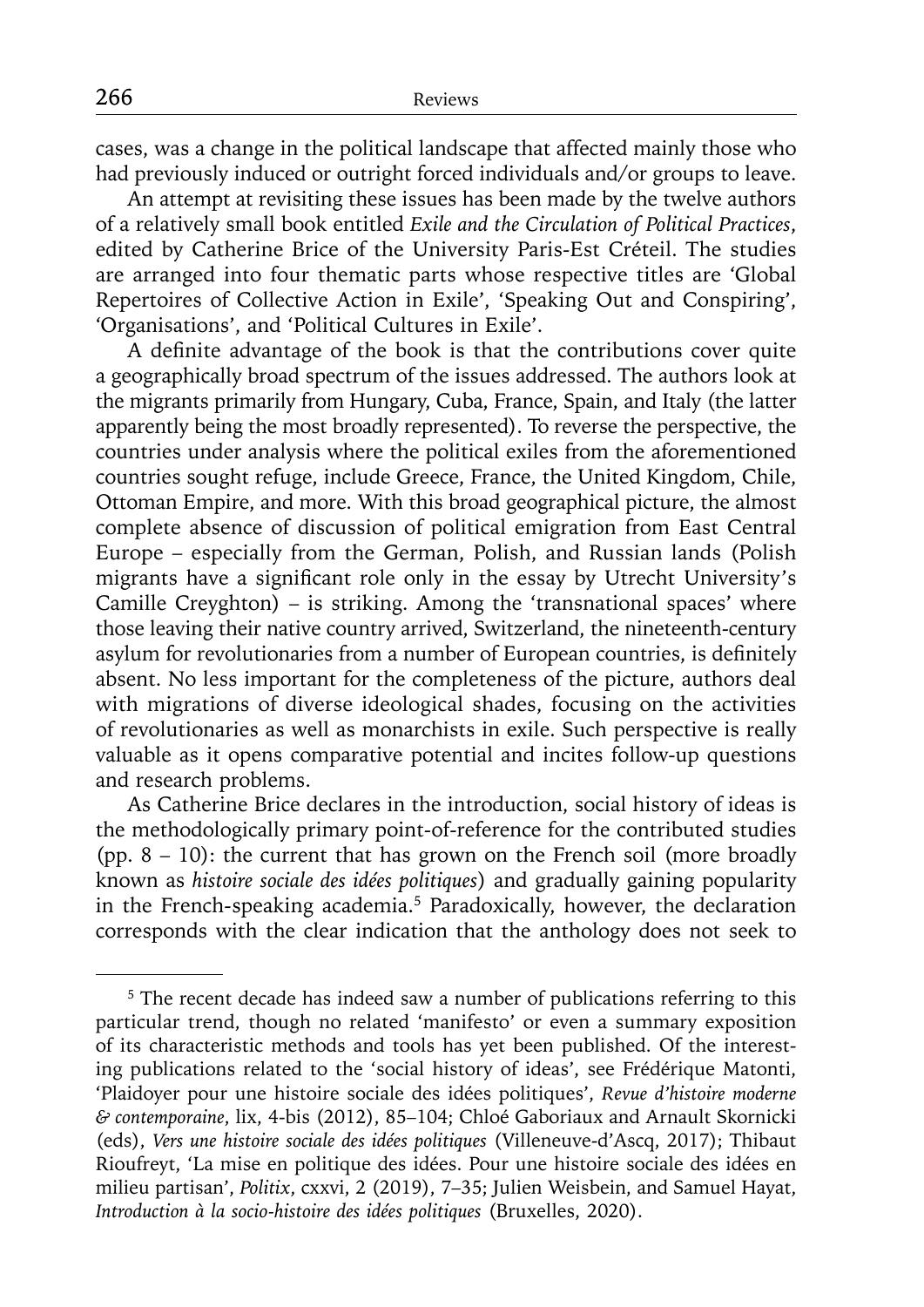cases, was a change in the political landscape that affected mainly those who had previously induced or outright forced individuals and/or groups to leave.

An attempt at revisiting these issues has been made by the twelve authors of a relatively small book entitled *Exile and the Circulation of Political Practices*, edited by Catherine Brice of the University Paris-Est Créteil. The studies are arranged into four thematic parts whose respective titles are 'Global Repertoires of Collective Action in Exile', 'Speaking Out and Conspiring', 'Organisations', and 'Political Cultures in Exile'.

A definite advantage of the book is that the contributions cover quite a geographically broad spectrum of the issues addressed. The authors look at the migrants primarily from Hungary, Cuba, France, Spain, and Italy (the latter apparently being the most broadly represented). To reverse the perspective, the countries under analysis where the political exiles from the aforementioned countries sought refuge, include Greece, France, the United Kingdom, Chile, Ottoman Empire, and more. With this broad geographical picture, the almost complete absence of discussion of political emigration from East Central Europe – especially from the German, Polish, and Russian lands (Polish migrants have a significant role only in the essay by Utrecht University's Camille Creyghton) – is striking. Among the 'transnational spaces' where those leaving their native country arrived, Switzerland, the nineteenth-century asylum for revolutionaries from a number of European countries, is definitely absent. No less important for the completeness of the picture, authors deal with migrations of diverse ideological shades, focusing on the activities of revolutionaries as well as monarchists in exile. Such perspective is really valuable as it opens comparative potential and incites follow-up questions and research problems.

As Catherine Brice declares in the introduction, social history of ideas is the methodologically primary point-of-reference for the contributed studies (pp. 8 – 10): the current that has grown on the French soil (more broadly known as *histoire sociale des idées politiques*) and gradually gaining popularity in the French-speaking academia.5 Paradoxically, however, the declaration corresponds with the clear indication that the anthology does not seek to

<sup>&</sup>lt;sup>5</sup> The recent decade has indeed saw a number of publications referring to this particular trend, though no related 'manifesto' or even a summary exposition of its characteristic methods and tools has yet been published. Of the interesting publications related to the 'social history of ideas', see Frédérique Matonti, 'Plaidoyer pour une histoire sociale des idées politiques', *Revue d'histoire moderne & contemporaine*, lix, 4-bis (2012), 85–104; Chloé Gaboriaux and Arnault Skornicki (eds), *Vers une histoire sociale des idées politiques* (Villeneuve-d'Ascq, 2017); Thibaut Rioufreyt, 'La mise en politique des idées. Pour une histoire sociale des idées en milieu partisan', *Politix*, cxxvi, 2 (2019), 7–35; Julien Weisbein, and Samuel Hayat, *Introduction à la socio-histoire des idées politiques* (Bruxelles, 2020).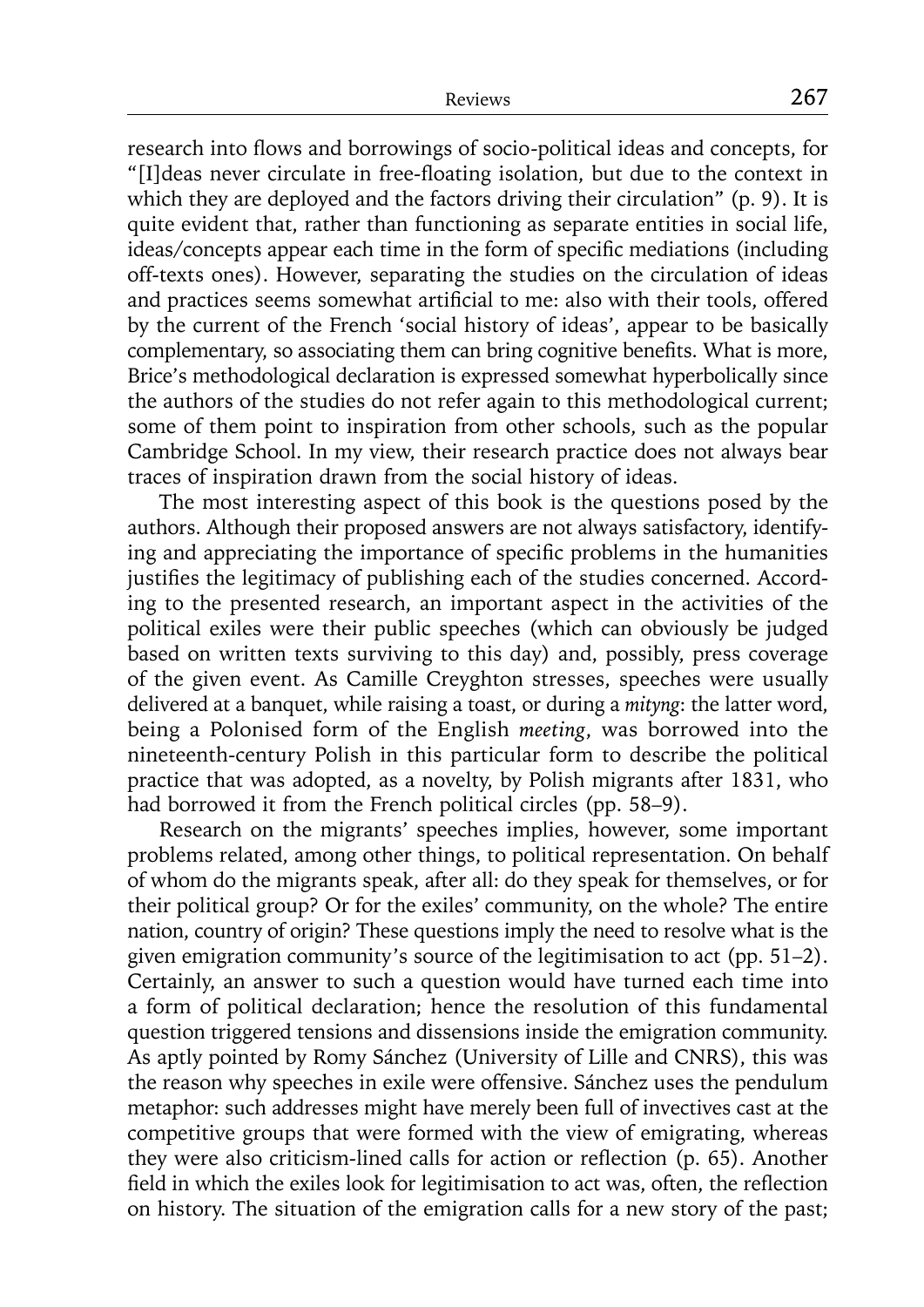research into flows and borrowings of socio-political ideas and concepts, for "[I]deas never circulate in free-floating isolation, but due to the context in which they are deployed and the factors driving their circulation" (p. 9). It is quite evident that, rather than functioning as separate entities in social life, ideas/concepts appear each time in the form of specific mediations (including off-texts ones). However, separating the studies on the circulation of ideas and practices seems somewhat artificial to me: also with their tools, offered by the current of the French 'social history of ideas', appear to be basically complementary, so associating them can bring cognitive benefits. What is more, Brice's methodological declaration is expressed somewhat hyperbolically since the authors of the studies do not refer again to this methodological current; some of them point to inspiration from other schools, such as the popular Cambridge School. In my view, their research practice does not always bear traces of inspiration drawn from the social history of ideas.

The most interesting aspect of this book is the questions posed by the authors. Although their proposed answers are not always satisfactory, identifying and appreciating the importance of specific problems in the humanities justifies the legitimacy of publishing each of the studies concerned. According to the presented research, an important aspect in the activities of the political exiles were their public speeches (which can obviously be judged based on written texts surviving to this day) and, possibly, press coverage of the given event. As Camille Creyghton stresses, speeches were usually delivered at a banquet, while raising a toast, or during a *mityng*: the latter word, being a Polonised form of the English *meeting*, was borrowed into the nineteenth-century Polish in this particular form to describe the political practice that was adopted, as a novelty, by Polish migrants after 1831, who had borrowed it from the French political circles (pp. 58–9).

Research on the migrants' speeches implies, however, some important problems related, among other things, to political representation. On behalf of whom do the migrants speak, after all: do they speak for themselves, or for their political group? Or for the exiles' community, on the whole? The entire nation, country of origin? These questions imply the need to resolve what is the given emigration community's source of the legitimisation to act (pp. 51–2). Certainly, an answer to such a question would have turned each time into a form of political declaration; hence the resolution of this fundamental question triggered tensions and dissensions inside the emigration community. As aptly pointed by Romy Sánchez (University of Lille and CNRS), this was the reason why speeches in exile were offensive. Sánchez uses the pendulum metaphor: such addresses might have merely been full of invectives cast at the competitive groups that were formed with the view of emigrating, whereas they were also criticism-lined calls for action or reflection (p. 65). Another field in which the exiles look for legitimisation to act was, often, the reflection on history. The situation of the emigration calls for a new story of the past;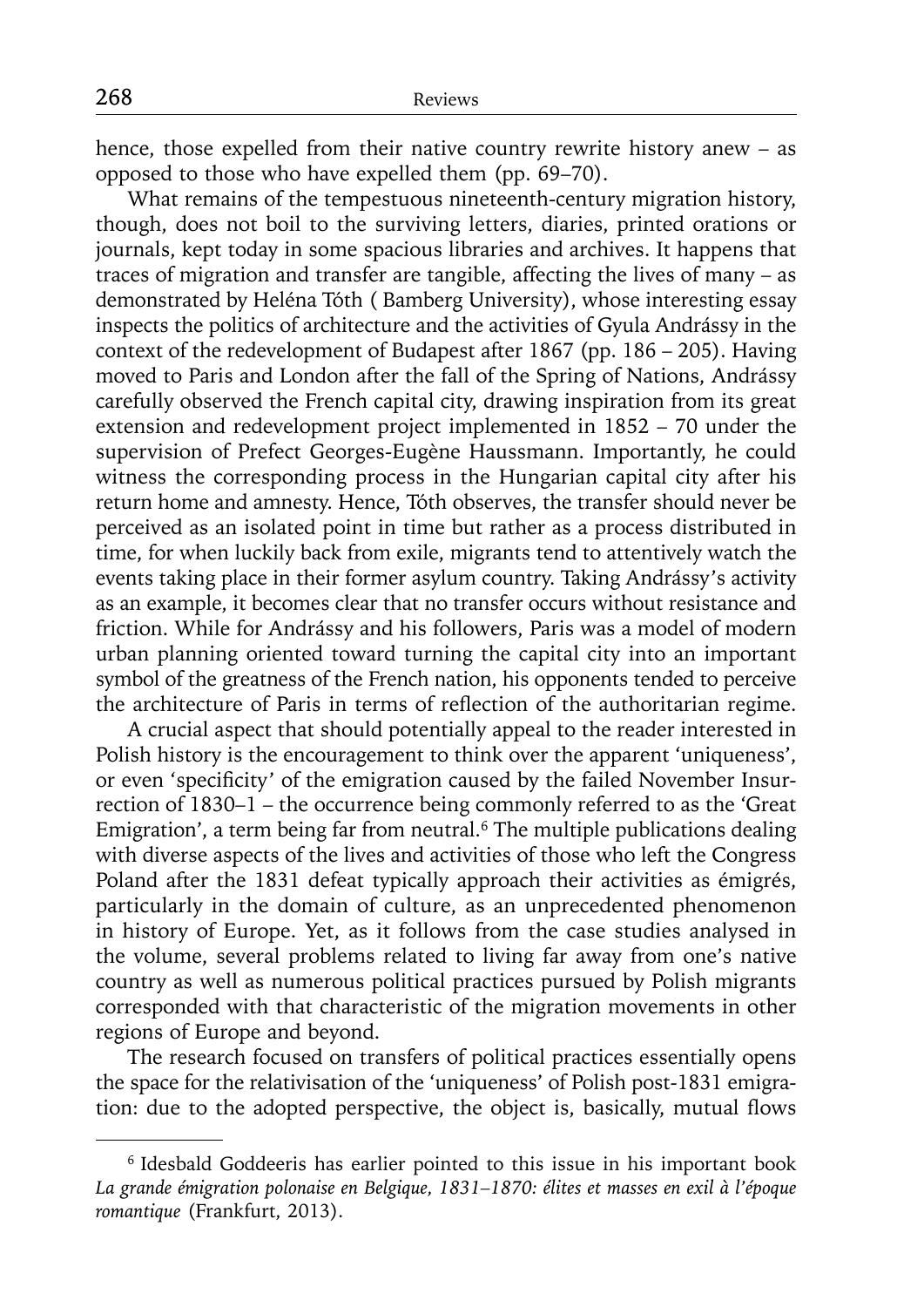hence, those expelled from their native country rewrite history anew – as opposed to those who have expelled them (pp. 69–70).

What remains of the tempestuous nineteenth-century migration history, though, does not boil to the surviving letters, diaries, printed orations or journals, kept today in some spacious libraries and archives. It happens that traces of migration and transfer are tangible, affecting the lives of many – as demonstrated by Heléna Tóth ( Bamberg University), whose interesting essay inspects the politics of architecture and the activities of Gyula Andrássy in the context of the redevelopment of Budapest after 1867 (pp. 186 – 205). Having moved to Paris and London after the fall of the Spring of Nations, Andrássy carefully observed the French capital city, drawing inspiration from its great extension and redevelopment project implemented in 1852 – 70 under the supervision of Prefect Georges-Eugène Haussmann. Importantly, he could witness the corresponding process in the Hungarian capital city after his return home and amnesty. Hence, Tóth observes, the transfer should never be perceived as an isolated point in time but rather as a process distributed in time, for when luckily back from exile, migrants tend to attentively watch the events taking place in their former asylum country. Taking Andrássy's activity as an example, it becomes clear that no transfer occurs without resistance and friction. While for Andrássy and his followers, Paris was a model of modern urban planning oriented toward turning the capital city into an important symbol of the greatness of the French nation, his opponents tended to perceive the architecture of Paris in terms of reflection of the authoritarian regime.

A crucial aspect that should potentially appeal to the reader interested in Polish history is the encouragement to think over the apparent 'uniqueness', or even 'specificity' of the emigration caused by the failed November Insurrection of 1830–1 – the occurrence being commonly referred to as the 'Great Emigration', a term being far from neutral.<sup>6</sup> The multiple publications dealing with diverse aspects of the lives and activities of those who left the Congress Poland after the 1831 defeat typically approach their activities as émigrés, particularly in the domain of culture, as an unprecedented phenomenon in history of Europe. Yet, as it follows from the case studies analysed in the volume, several problems related to living far away from one's native country as well as numerous political practices pursued by Polish migrants corresponded with that characteristic of the migration movements in other regions of Europe and beyond.

The research focused on transfers of political practices essentially opens the space for the relativisation of the 'uniqueness' of Polish post-1831 emigration: due to the adopted perspective, the object is, basically, mutual flows

<sup>6</sup> Idesbald Goddeeris has earlier pointed to this issue in his important book *La grande émigration polonaise en Belgique, 1831–1870: élites et masses en exil à l'époque romantique* (Frankfurt, 2013).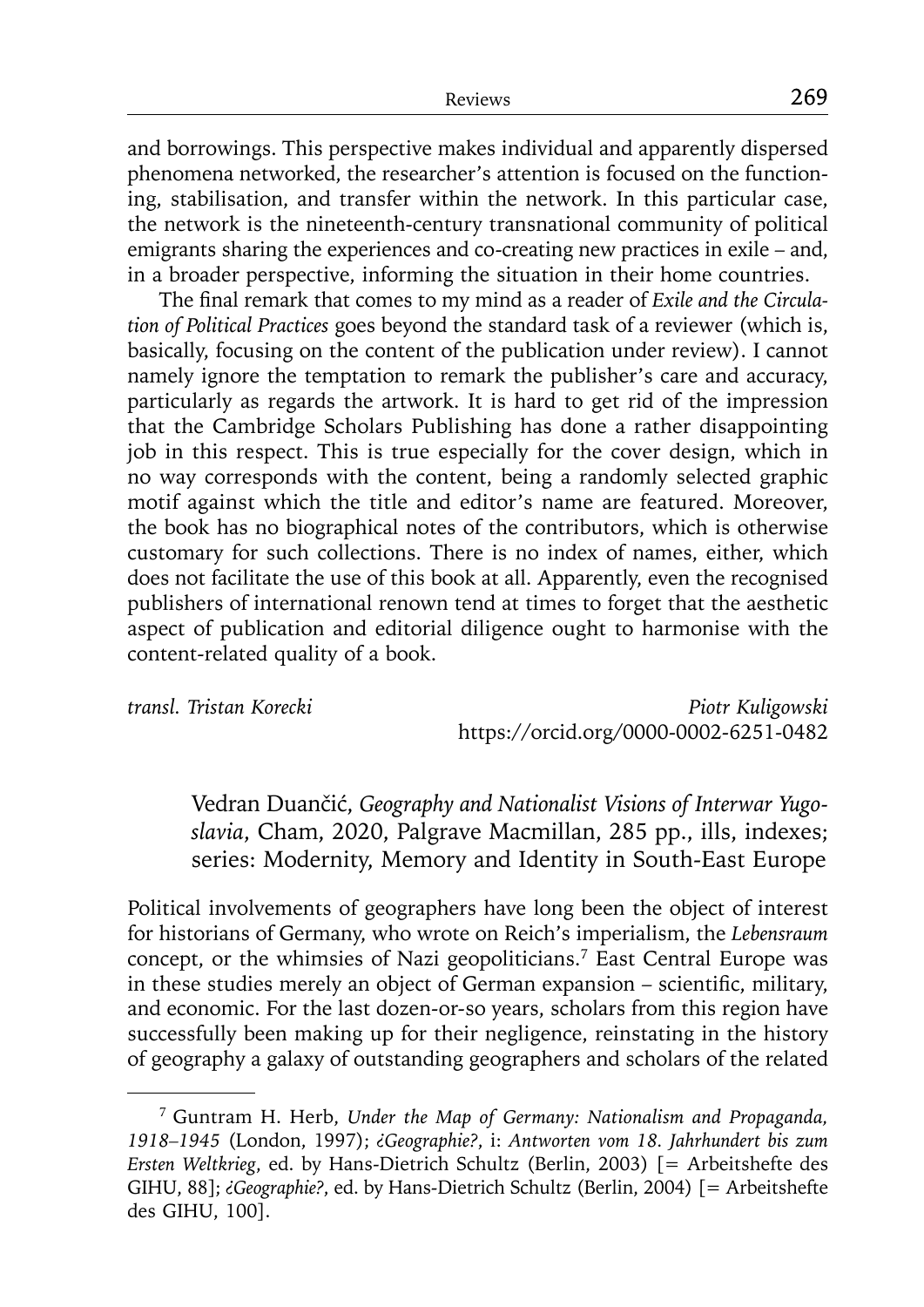and borrowings. This perspective makes individual and apparently dispersed phenomena networked, the researcher's attention is focused on the functioning, stabilisation, and transfer within the network. In this particular case, the network is the nineteenth-century transnational community of political emigrants sharing the experiences and co-creating new practices in exile – and, in a broader perspective, informing the situation in their home countries.

The final remark that comes to my mind as a reader of *Exile and the Circulation of Political Practices* goes beyond the standard task of a reviewer (which is, basically, focusing on the content of the publication under review). I cannot namely ignore the temptation to remark the publisher's care and accuracy, particularly as regards the artwork. It is hard to get rid of the impression that the Cambridge Scholars Publishing has done a rather disappointing job in this respect. This is true especially for the cover design, which in no way corresponds with the content, being a randomly selected graphic motif against which the title and editor's name are featured. Moreover, the book has no biographical notes of the contributors, which is otherwise customary for such collections. There is no index of names, either, which does not facilitate the use of this book at all. Apparently, even the recognised publishers of international renown tend at times to forget that the aesthetic aspect of publication and editorial diligence ought to harmonise with the content-related quality of a book.

*transl. Tristan Korecki Piotr Kuligowski* https://orcid.org/0000-0002-6251-0482

Vedran Duančić, *Geography and Nationalist Visions of Interwar Yugoslavia*, Cham, 2020, Palgrave Macmillan, 285 pp., ills, indexes; series: Modernity, Memory and Identity in South-East Europe

Political involvements of geographers have long been the object of interest for historians of Germany, who wrote on Reich's imperialism, the *Lebensraum* concept, or the whimsies of Nazi geopoliticians.7 East Central Europe was in these studies merely an object of German expansion – scientific, military, and economic. For the last dozen-or-so years, scholars from this region have successfully been making up for their negligence, reinstating in the history of geography a galaxy of outstanding geographers and scholars of the related

<sup>7</sup> Guntram H. Herb, *Under the Map of Germany: Nationalism and Propaganda, 1918–1945* (London, 1997); *¿Geographie?*, i: *Antworten vom 18. Jahrhundert bis zum Ersten Weltkrieg*, ed. by Hans-Dietrich Schultz (Berlin, 2003) [= Arbeitshefte des GIHU, 88]; *¿Geographie?*, ed. by Hans-Dietrich Schultz (Berlin, 2004) [= Arbeitshefte des GIHU, 100].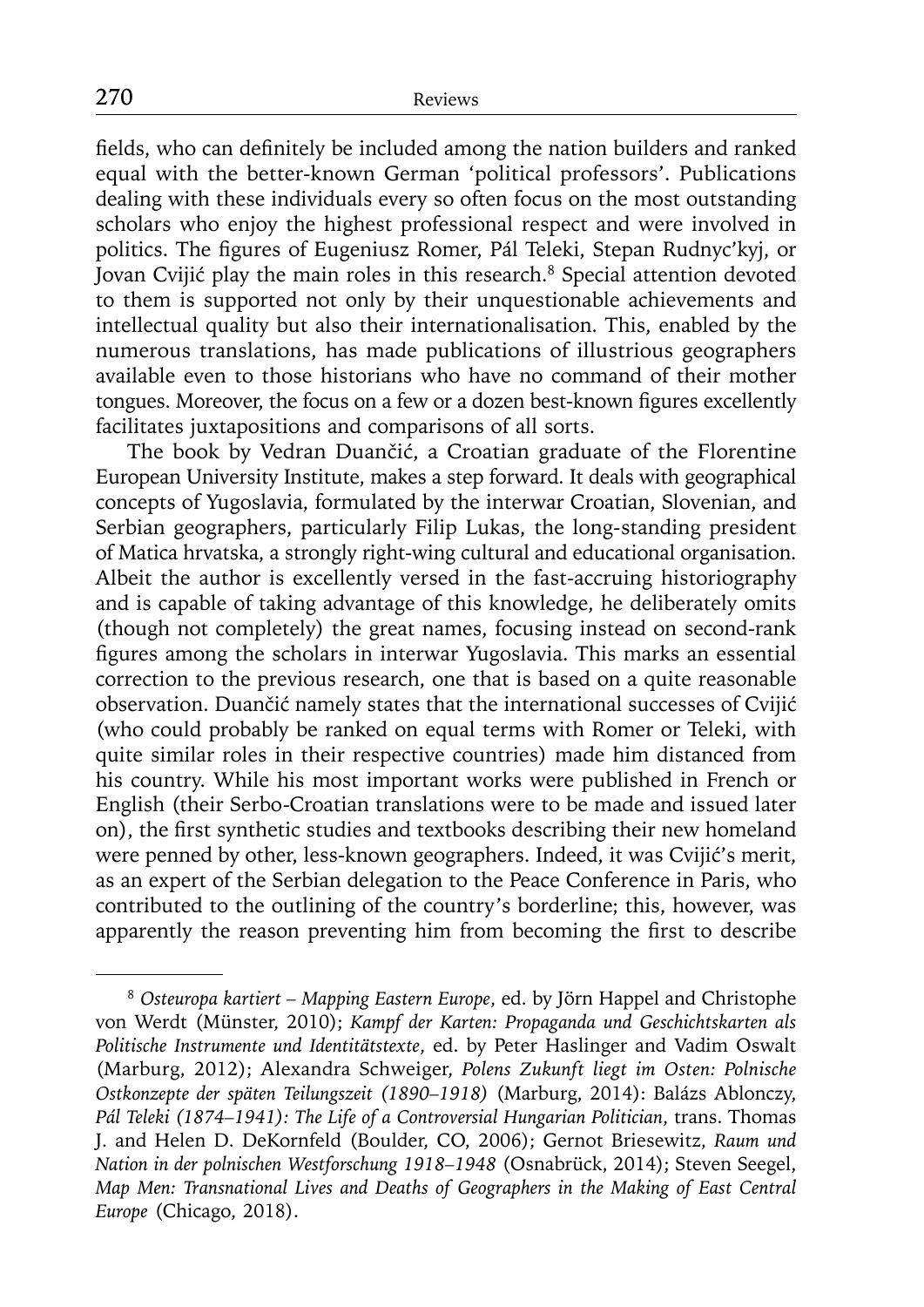fields, who can definitely be included among the nation builders and ranked equal with the better-known German 'political professors'. Publications dealing with these individuals every so often focus on the most outstanding scholars who enjoy the highest professional respect and were involved in politics. The figures of Eugeniusz Romer, Pál Teleki, Stepan Rudnyc'kyj, or Jovan Cvijić play the main roles in this research.8 Special attention devoted to them is supported not only by their unquestionable achievements and intellectual quality but also their internationalisation. This, enabled by the numerous translations, has made publications of illustrious geographers available even to those historians who have no command of their mother tongues. Moreover, the focus on a few or a dozen best-known figures excellently facilitates juxtapositions and comparisons of all sorts.

The book by Vedran Duančić, a Croatian graduate of the Florentine European University Institute, makes a step forward. It deals with geographical concepts of Yugoslavia, formulated by the interwar Croatian, Slovenian, and Serbian geographers, particularly Filip Lukas, the long-standing president of Matica hrvatska, a strongly right-wing cultural and educational organisation. Albeit the author is excellently versed in the fast-accruing historiography and is capable of taking advantage of this knowledge, he deliberately omits (though not completely) the great names, focusing instead on second-rank figures among the scholars in interwar Yugoslavia. This marks an essential correction to the previous research, one that is based on a quite reasonable observation. Duančić namely states that the international successes of Cvijić (who could probably be ranked on equal terms with Romer or Teleki, with quite similar roles in their respective countries) made him distanced from his country. While his most important works were published in French or English (their Serbo-Croatian translations were to be made and issued later on), the first synthetic studies and textbooks describing their new homeland were penned by other, less-known geographers. Indeed, it was Cvijić's merit, as an expert of the Serbian delegation to the Peace Conference in Paris, who contributed to the outlining of the country's borderline; this, however, was apparently the reason preventing him from becoming the first to describe

<sup>8</sup>*Osteuropa kartiert – Mapping Eastern Europe*, ed. by Jörn Happel and Christophe von Werdt (Münster, 2010); *Kampf der Karten: Propaganda und Geschichtskarten als Politische Instrumente und Identitätstexte*, ed. by Peter Haslinger and Vadim Oswalt (Marburg, 2012); Alexandra Schweiger, *Polens Zukunft liegt im Osten: Polnische Ostkonzepte der späten Teilungszeit (1890–1918)* (Marburg, 2014): Balázs Ablonczy, *Pál Teleki (1874–1941): The Life of a Controversial Hungarian Politician*, trans. Thomas J. and Helen D. DeKornfeld (Boulder, CO, 2006); Gernot Briesewitz, *Raum und Nation in der polnischen Westforschung 1918–1948* (Osnabrück, 2014); Steven Seegel, *Map Men: Transnational Lives and Deaths of Geographers in the Making of East Central Europe* (Chicago, 2018).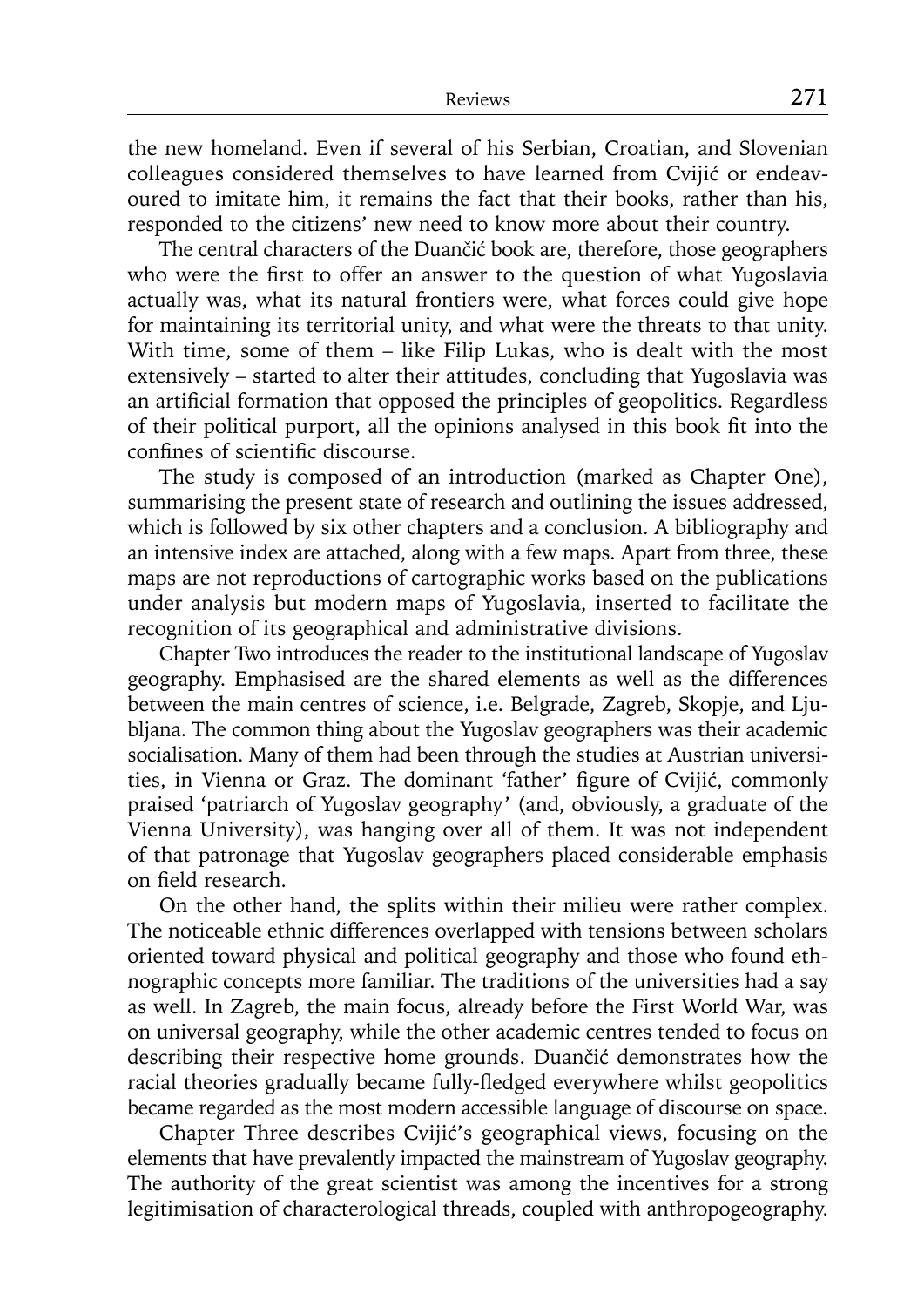the new homeland. Even if several of his Serbian, Croatian, and Slovenian colleagues considered themselves to have learned from Cvijić or endeavoured to imitate him, it remains the fact that their books, rather than his, responded to the citizens' new need to know more about their country.

The central characters of the Duančić book are, therefore, those geographers who were the first to offer an answer to the question of what Yugoslavia actually was, what its natural frontiers were, what forces could give hope for maintaining its territorial unity, and what were the threats to that unity. With time, some of them – like Filip Lukas, who is dealt with the most extensively – started to alter their attitudes, concluding that Yugoslavia was an artificial formation that opposed the principles of geopolitics. Regardless of their political purport, all the opinions analysed in this book fit into the confines of scientific discourse.

The study is composed of an introduction (marked as Chapter One), summarising the present state of research and outlining the issues addressed, which is followed by six other chapters and a conclusion. A bibliography and an intensive index are attached, along with a few maps. Apart from three, these maps are not reproductions of cartographic works based on the publications under analysis but modern maps of Yugoslavia, inserted to facilitate the recognition of its geographical and administrative divisions.

Chapter Two introduces the reader to the institutional landscape of Yugoslav geography. Emphasised are the shared elements as well as the differences between the main centres of science, i.e. Belgrade, Zagreb, Skopje, and Ljubljana. The common thing about the Yugoslav geographers was their academic socialisation. Many of them had been through the studies at Austrian universities, in Vienna or Graz. The dominant 'father' figure of Cvijić, commonly praised 'patriarch of Yugoslav geography' (and, obviously, a graduate of the Vienna University), was hanging over all of them. It was not independent of that patronage that Yugoslav geographers placed considerable emphasis on field research.

On the other hand, the splits within their milieu were rather complex. The noticeable ethnic differences overlapped with tensions between scholars oriented toward physical and political geography and those who found ethnographic concepts more familiar. The traditions of the universities had a say as well. In Zagreb, the main focus, already before the First World War, was on universal geography, while the other academic centres tended to focus on describing their respective home grounds. Duančić demonstrates how the racial theories gradually became fully-fledged everywhere whilst geopolitics became regarded as the most modern accessible language of discourse on space.

Chapter Three describes Cvijić's geographical views, focusing on the elements that have prevalently impacted the mainstream of Yugoslav geography. The authority of the great scientist was among the incentives for a strong legitimisation of characterological threads, coupled with anthropogeography.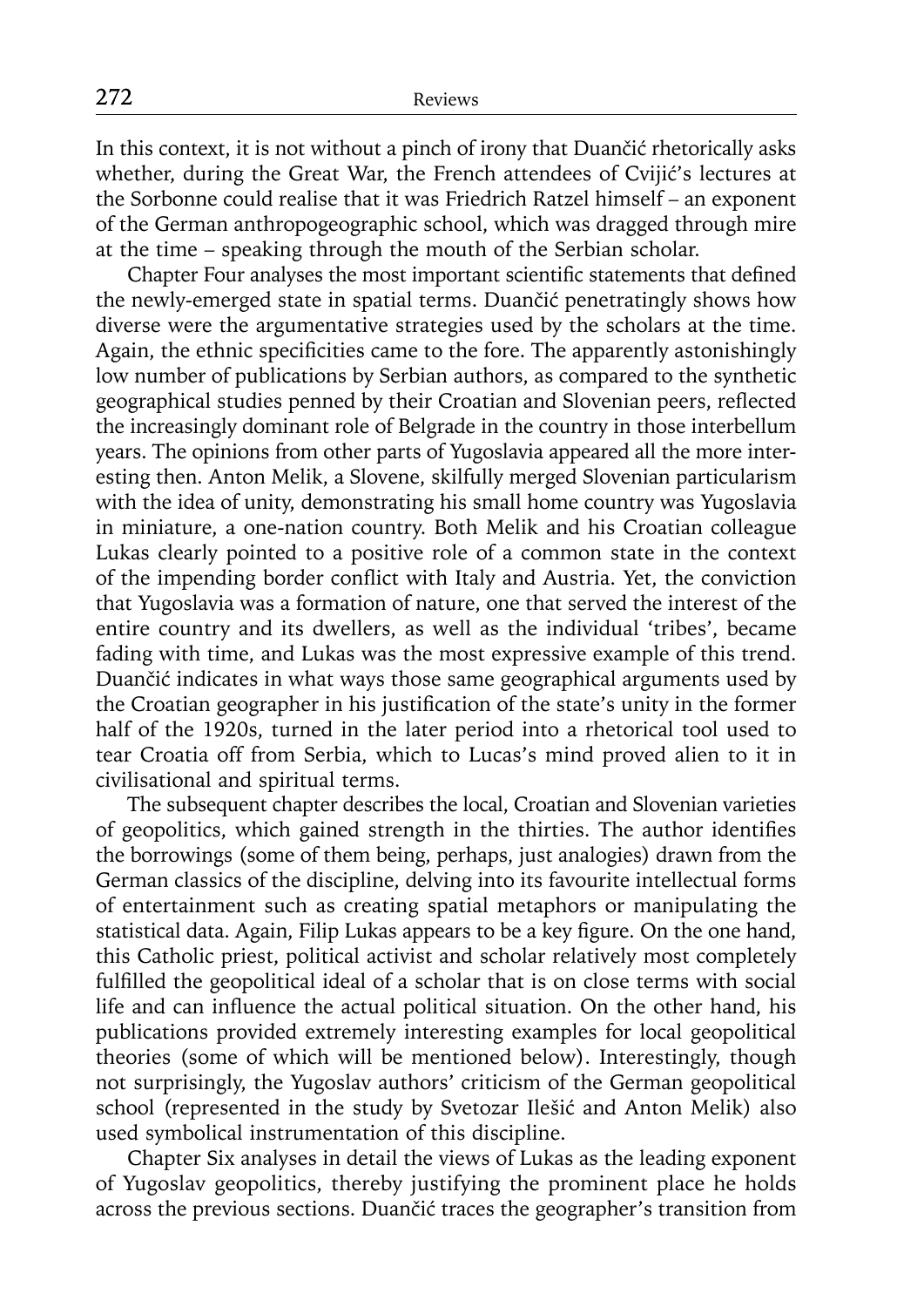In this context, it is not without a pinch of irony that Duančić rhetorically asks whether, during the Great War, the French attendees of Cvijić's lectures at the Sorbonne could realise that it was Friedrich Ratzel himself – an exponent of the German anthropogeographic school, which was dragged through mire at the time – speaking through the mouth of the Serbian scholar.

Chapter Four analyses the most important scientific statements that defined the newly-emerged state in spatial terms. Duančić penetratingly shows how diverse were the argumentative strategies used by the scholars at the time. Again, the ethnic specificities came to the fore. The apparently astonishingly low number of publications by Serbian authors, as compared to the synthetic geographical studies penned by their Croatian and Slovenian peers, reflected the increasingly dominant role of Belgrade in the country in those interbellum years. The opinions from other parts of Yugoslavia appeared all the more interesting then. Anton Melik, a Slovene, skilfully merged Slovenian particularism with the idea of unity, demonstrating his small home country was Yugoslavia in miniature, a one-nation country. Both Melik and his Croatian colleague Lukas clearly pointed to a positive role of a common state in the context of the impending border conflict with Italy and Austria. Yet, the conviction that Yugoslavia was a formation of nature, one that served the interest of the entire country and its dwellers, as well as the individual 'tribes', became fading with time, and Lukas was the most expressive example of this trend. Duančić indicates in what ways those same geographical arguments used by the Croatian geographer in his justification of the state's unity in the former half of the 1920s, turned in the later period into a rhetorical tool used to tear Croatia off from Serbia, which to Lucas's mind proved alien to it in civilisational and spiritual terms.

The subsequent chapter describes the local, Croatian and Slovenian varieties of geopolitics, which gained strength in the thirties. The author identifies the borrowings (some of them being, perhaps, just analogies) drawn from the German classics of the discipline, delving into its favourite intellectual forms of entertainment such as creating spatial metaphors or manipulating the statistical data. Again, Filip Lukas appears to be a key figure. On the one hand, this Catholic priest, political activist and scholar relatively most completely fulfilled the geopolitical ideal of a scholar that is on close terms with social life and can influence the actual political situation. On the other hand, his publications provided extremely interesting examples for local geopolitical theories (some of which will be mentioned below). Interestingly, though not surprisingly, the Yugoslav authors' criticism of the German geopolitical school (represented in the study by Svetozar Ilešić and Anton Melik) also used symbolical instrumentation of this discipline.

Chapter Six analyses in detail the views of Lukas as the leading exponent of Yugoslav geopolitics, thereby justifying the prominent place he holds across the previous sections. Duančić traces the geographer's transition from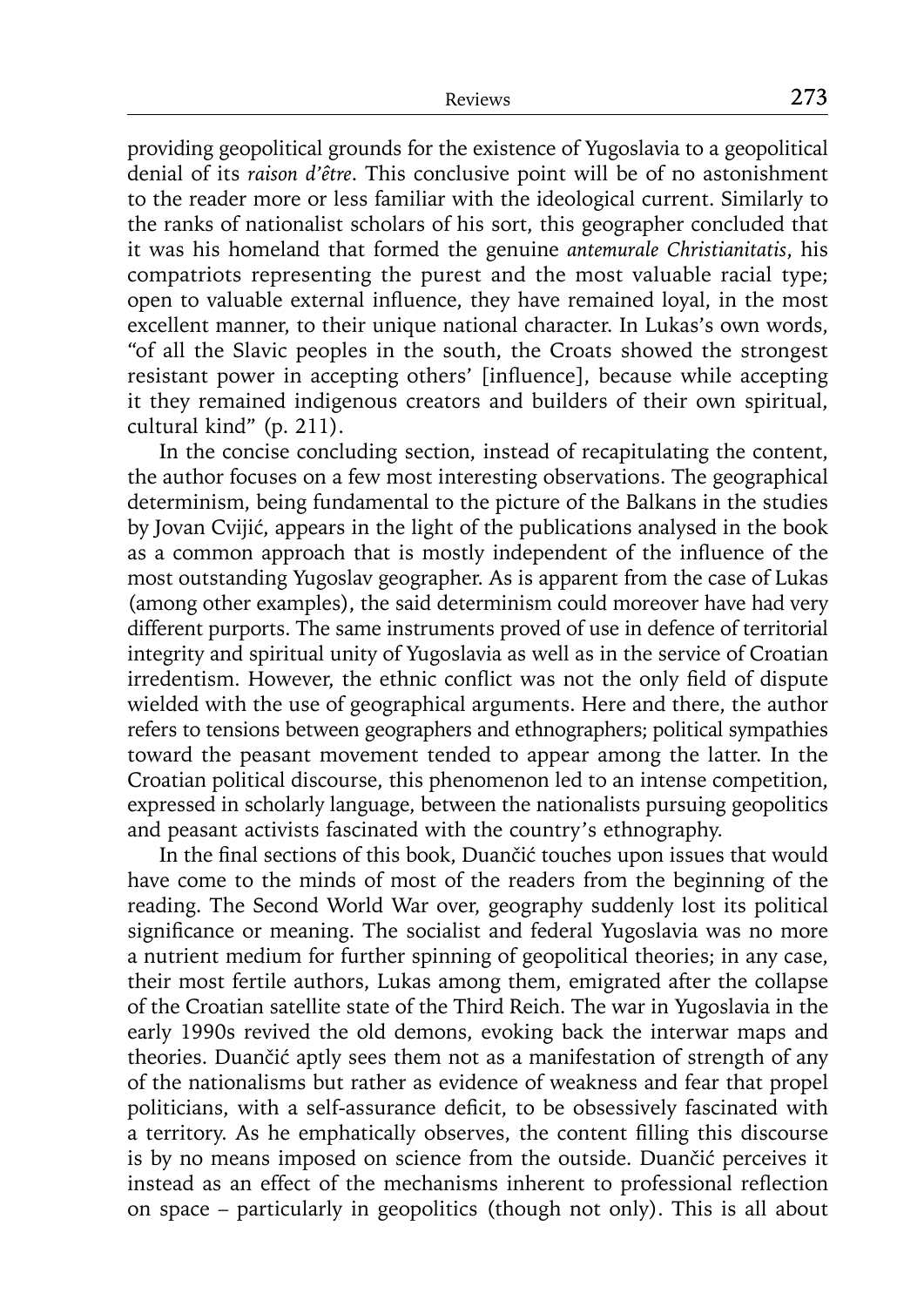providing geopolitical grounds for the existence of Yugoslavia to a geopolitical denial of its *raison d'être*. This conclusive point will be of no astonishment to the reader more or less familiar with the ideological current. Similarly to the ranks of nationalist scholars of his sort, this geographer concluded that it was his homeland that formed the genuine *antemurale Christianitatis*, his compatriots representing the purest and the most valuable racial type; open to valuable external influence, they have remained loyal, in the most excellent manner, to their unique national character. In Lukas's own words, "of all the Slavic peoples in the south, the Croats showed the strongest resistant power in accepting others' [influence], because while accepting it they remained indigenous creators and builders of their own spiritual, cultural kind" (p. 211).

In the concise concluding section, instead of recapitulating the content, the author focuses on a few most interesting observations. The geographical determinism, being fundamental to the picture of the Balkans in the studies by Jovan Cvijić, appears in the light of the publications analysed in the book as a common approach that is mostly independent of the influence of the most outstanding Yugoslav geographer. As is apparent from the case of Lukas (among other examples), the said determinism could moreover have had very different purports. The same instruments proved of use in defence of territorial integrity and spiritual unity of Yugoslavia as well as in the service of Croatian irredentism. However, the ethnic conflict was not the only field of dispute wielded with the use of geographical arguments. Here and there, the author refers to tensions between geographers and ethnographers; political sympathies toward the peasant movement tended to appear among the latter. In the Croatian political discourse, this phenomenon led to an intense competition, expressed in scholarly language, between the nationalists pursuing geopolitics and peasant activists fascinated with the country's ethnography.

In the final sections of this book, Duančić touches upon issues that would have come to the minds of most of the readers from the beginning of the reading. The Second World War over, geography suddenly lost its political significance or meaning. The socialist and federal Yugoslavia was no more a nutrient medium for further spinning of geopolitical theories; in any case, their most fertile authors, Lukas among them, emigrated after the collapse of the Croatian satellite state of the Third Reich. The war in Yugoslavia in the early 1990s revived the old demons, evoking back the interwar maps and theories. Duančić aptly sees them not as a manifestation of strength of any of the nationalisms but rather as evidence of weakness and fear that propel politicians, with a self-assurance deficit, to be obsessively fascinated with a territory. As he emphatically observes, the content filling this discourse is by no means imposed on science from the outside. Duančić perceives it instead as an effect of the mechanisms inherent to professional reflection on space – particularly in geopolitics (though not only). This is all about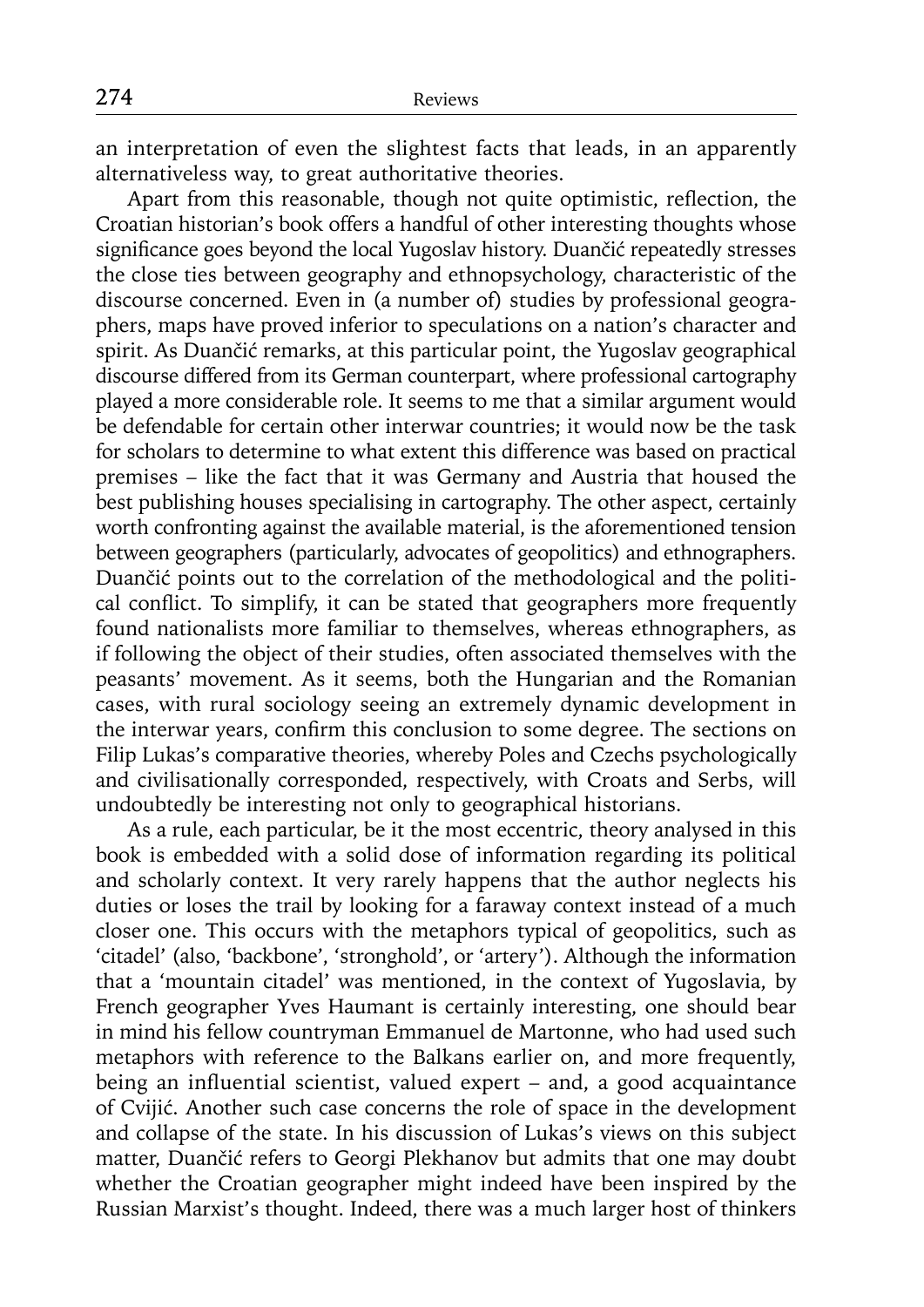an interpretation of even the slightest facts that leads, in an apparently alternativeless way, to great authoritative theories.

Apart from this reasonable, though not quite optimistic, reflection, the Croatian historian's book offers a handful of other interesting thoughts whose significance goes beyond the local Yugoslav history. Duančić repeatedly stresses the close ties between geography and ethnopsychology, characteristic of the discourse concerned. Even in (a number of) studies by professional geographers, maps have proved inferior to speculations on a nation's character and spirit. As Duančić remarks, at this particular point, the Yugoslav geographical discourse differed from its German counterpart, where professional cartography played a more considerable role. It seems to me that a similar argument would be defendable for certain other interwar countries; it would now be the task for scholars to determine to what extent this difference was based on practical premises – like the fact that it was Germany and Austria that housed the best publishing houses specialising in cartography. The other aspect, certainly worth confronting against the available material, is the aforementioned tension between geographers (particularly, advocates of geopolitics) and ethnographers. Duančić points out to the correlation of the methodological and the political conflict. To simplify, it can be stated that geographers more frequently found nationalists more familiar to themselves, whereas ethnographers, as if following the object of their studies, often associated themselves with the peasants' movement. As it seems, both the Hungarian and the Romanian cases, with rural sociology seeing an extremely dynamic development in the interwar years, confirm this conclusion to some degree. The sections on Filip Lukas's comparative theories, whereby Poles and Czechs psychologically and civilisationally corresponded, respectively, with Croats and Serbs, will undoubtedly be interesting not only to geographical historians.

As a rule, each particular, be it the most eccentric, theory analysed in this book is embedded with a solid dose of information regarding its political and scholarly context. It very rarely happens that the author neglects his duties or loses the trail by looking for a faraway context instead of a much closer one. This occurs with the metaphors typical of geopolitics, such as 'citadel' (also, 'backbone', 'stronghold', or 'artery'). Although the information that a 'mountain citadel' was mentioned, in the context of Yugoslavia, by French geographer Yves Haumant is certainly interesting, one should bear in mind his fellow countryman Emmanuel de Martonne, who had used such metaphors with reference to the Balkans earlier on, and more frequently, being an influential scientist, valued expert  $-$  and, a good acquaintance of Cvijić. Another such case concerns the role of space in the development and collapse of the state. In his discussion of Lukas's views on this subject matter, Duančić refers to Georgi Plekhanov but admits that one may doubt whether the Croatian geographer might indeed have been inspired by the Russian Marxist's thought. Indeed, there was a much larger host of thinkers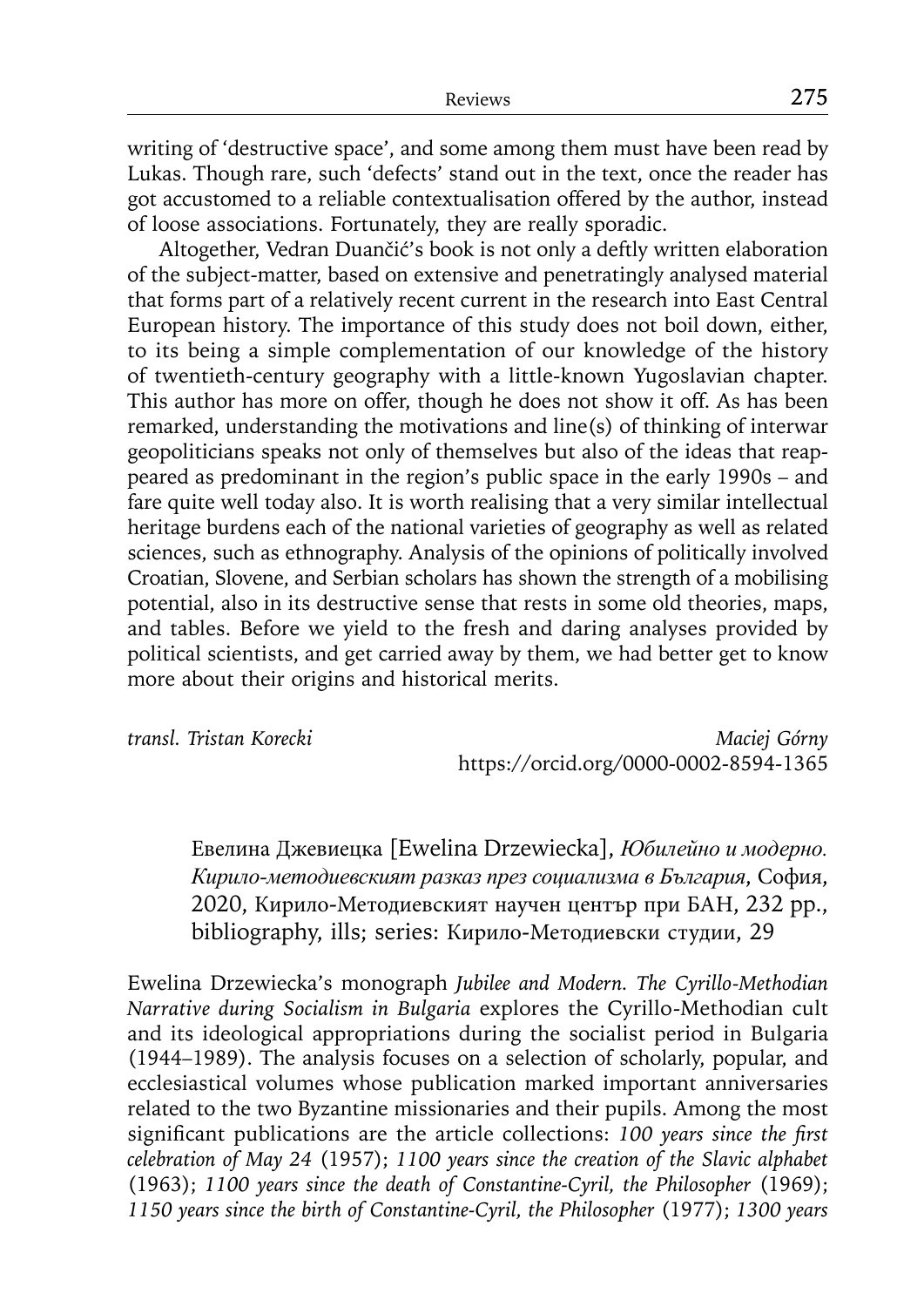writing of 'destructive space', and some among them must have been read by Lukas. Though rare, such 'defects' stand out in the text, once the reader has got accustomed to a reliable contextualisation offered by the author, instead of loose associations. Fortunately, they are really sporadic.

Altogether, Vedran Duančić's book is not only a deftly written elaboration of the subject-matter, based on extensive and penetratingly analysed material that forms part of a relatively recent current in the research into East Central European history. The importance of this study does not boil down, either, to its being a simple complementation of our knowledge of the history of twentieth-century geography with a little-known Yugoslavian chapter. This author has more on offer, though he does not show it off. As has been remarked, understanding the motivations and line(s) of thinking of interwar geopoliticians speaks not only of themselves but also of the ideas that reappeared as predominant in the region's public space in the early 1990s – and fare quite well today also. It is worth realising that a very similar intellectual heritage burdens each of the national varieties of geography as well as related sciences, such as ethnography. Analysis of the opinions of politically involved Croatian, Slovene, and Serbian scholars has shown the strength of a mobilising potential, also in its destructive sense that rests in some old theories, maps, and tables. Before we yield to the fresh and daring analyses provided by political scientists, and get carried away by them, we had better get to know more about their origins and historical merits.

*transl. Tristan Korecki Maciej Górny* https://orcid.org/0000-0002-8594-1365

Евелина Джевиецка [Ewelina Drzewiecka], *Юбилейно и модерно. Кирило-методиевският разказ през социализма в България*, София, 2020, Кирило-Методиевският научен център при БАН, 232 pp., bibliography, ills; series: Кирило-Методиевски студии, 29

Ewelina Drzewiecka's monograph *Jubilee and Modern. The Cyrillo-Methodian Narrative during Socialism in Bulgaria* explores the Cyrillo-Methodian cult and its ideological appropriations during the socialist period in Bulgaria (1944–1989). The analysis focuses on a selection of scholarly, popular, and ecclesiastical volumes whose publication marked important anniversaries related to the two Byzantine missionaries and their pupils. Among the most significant publications are the article collections: 100 years since the first *celebration of May 24* (1957); *1100 years since the creation of the Slavic alphabet* (1963); *1100 years since the death of Constantine-Cyril, the Philosopher* (1969); *1150 years since the birth of Constantine-Cyril, the Philosopher* (1977); *1300 years*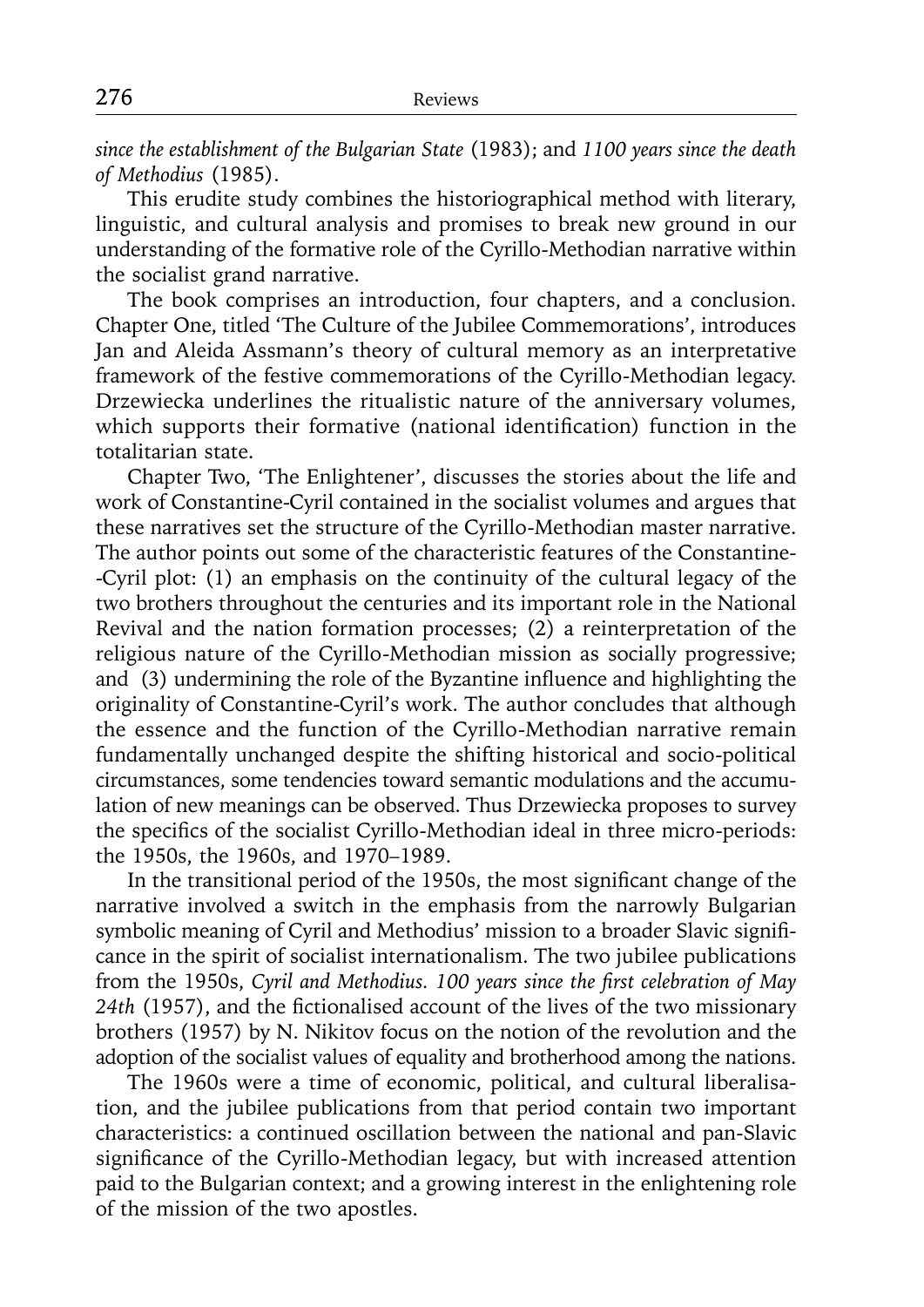*since the establishment of the Bulgarian State* (1983); and *1100 years since the death of Methodius* (1985).

This erudite study combines the historiographical method with literary, linguistic, and cultural analysis and promises to break new ground in our understanding of the formative role of the Cyrillo-Methodian narrative within the socialist grand narrative.

The book comprises an introduction, four chapters, and a conclusion. Chapter One, titled 'The Culture of the Jubilee Commemorations', introduces Jan and Aleida Assmann's theory of cultural memory as an interpretative framework of the festive commemorations of the Cyrillo-Methodian legacy. Drzewiecka underlines the ritualistic nature of the anniversary volumes, which supports their formative (national identification) function in the totalitarian state.

Chapter Two, 'The Enlightener', discusses the stories about the life and work of Constantine-Cyril contained in the socialist volumes and argues that these narratives set the structure of the Cyrillo-Methodian master narrative. The author points out some of the characteristic features of the Constantine- -Cyril plot: (1) an emphasis on the continuity of the cultural legacy of the two brothers throughout the centuries and its important role in the National Revival and the nation formation processes; (2) a reinterpretation of the religious nature of the Cyrillo-Methodian mission as socially progressive; and (3) undermining the role of the Byzantine influence and highlighting the originality of Constantine-Cyril's work. The author concludes that although the essence and the function of the Cyrillo-Methodian narrative remain fundamentally unchanged despite the shifting historical and socio-political circumstances, some tendencies toward semantic modulations and the accumulation of new meanings can be observed. Thus Drzewiecka proposes to survey the specifics of the socialist Cyrillo-Methodian ideal in three micro-periods: the 1950s, the 1960s, and 1970–1989.

In the transitional period of the 1950s, the most significant change of the narrative involved a switch in the emphasis from the narrowly Bulgarian symbolic meaning of Cyril and Methodius' mission to a broader Slavic significance in the spirit of socialist internationalism. The two jubilee publications from the 1950s, *Cyril and Methodius. 100 years since the first celebration of May* 24th (1957), and the fictionalised account of the lives of the two missionary brothers (1957) by N. Nikitov focus on the notion of the revolution and the adoption of the socialist values of equality and brotherhood among the nations.

The 1960s were a time of economic, political, and cultural liberalisation, and the jubilee publications from that period contain two important characteristics: a continued oscillation between the national and pan-Slavic significance of the Cyrillo-Methodian legacy, but with increased attention paid to the Bulgarian context; and a growing interest in the enlightening role of the mission of the two apostles.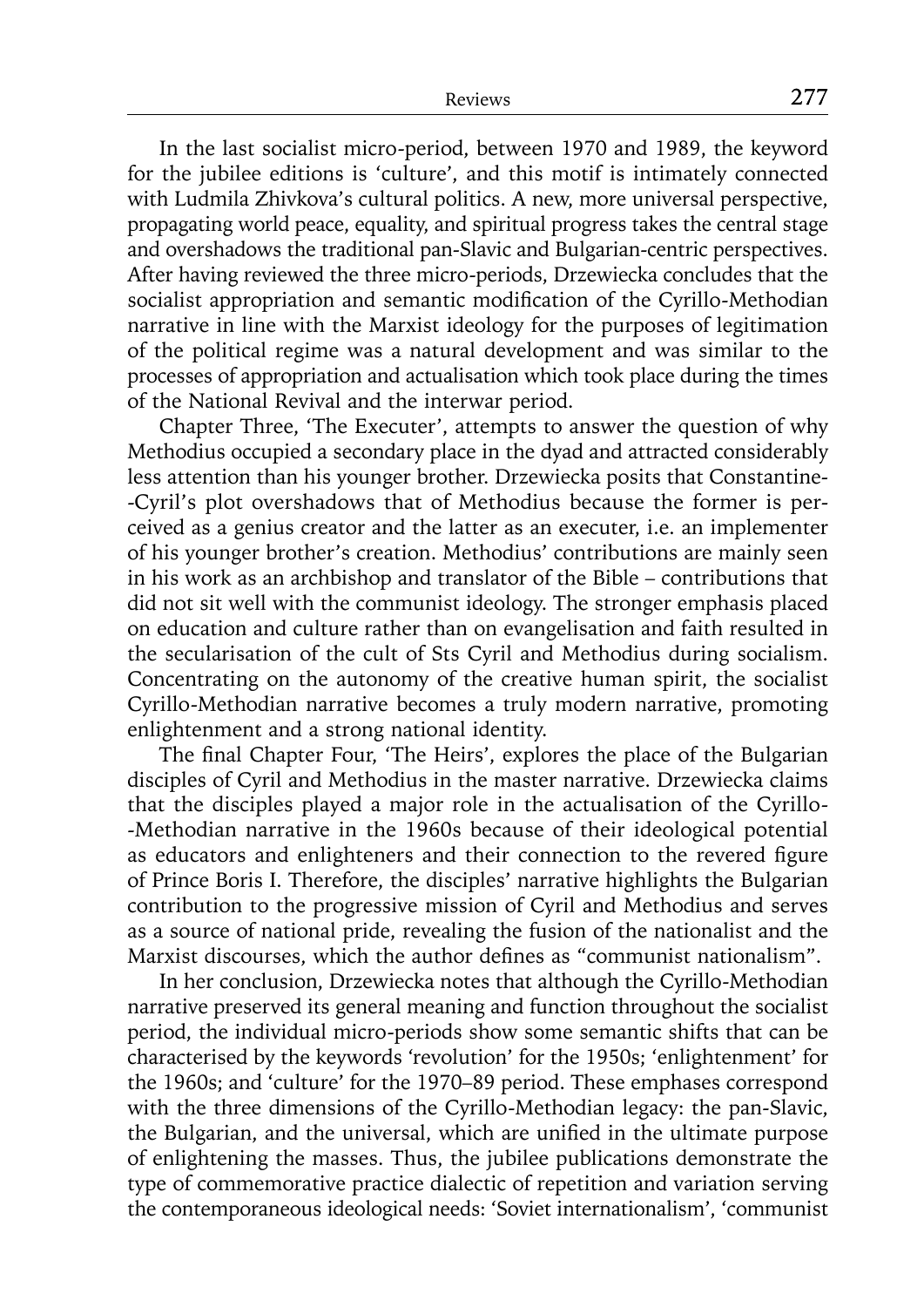In the last socialist micro-period, between 1970 and 1989, the keyword for the jubilee editions is 'culture', and this motif is intimately connected with Ludmila Zhivkova's cultural politics. A new, more universal perspective, propagating world peace, equality, and spiritual progress takes the central stage and overshadows the traditional pan-Slavic and Bulgarian-centric perspectives. After having reviewed the three micro-periods, Drzewiecka concludes that the socialist appropriation and semantic modification of the Cyrillo-Methodian narrative in line with the Marxist ideology for the purposes of legitimation of the political regime was a natural development and was similar to the processes of appropriation and actualisation which took place during the times of the National Revival and the interwar period.

Chapter Three, 'The Executer', attempts to answer the question of why Methodius occupied a secondary place in the dyad and attracted considerably less attention than his younger brother. Drzewiecka posits that Constantine- -Cyril's plot overshadows that of Methodius because the former is perceived as a genius creator and the latter as an executer, i.e. an implementer of his younger brother's creation. Methodius' contributions are mainly seen in his work as an archbishop and translator of the Bible – contributions that did not sit well with the communist ideology. The stronger emphasis placed on education and culture rather than on evangelisation and faith resulted in the secularisation of the cult of Sts Cyril and Methodius during socialism. Concentrating on the autonomy of the creative human spirit, the socialist Cyrillo-Methodian narrative becomes a truly modern narrative, promoting enlightenment and a strong national identity.

The final Chapter Four, 'The Heirs', explores the place of the Bulgarian disciples of Cyril and Methodius in the master narrative. Drzewiecka claims that the disciples played a major role in the actualisation of the Cyrillo- -Methodian narrative in the 1960s because of their ideological potential as educators and enlighteners and their connection to the revered figure of Prince Boris I. Therefore, the disciples' narrative highlights the Bulgarian contribution to the progressive mission of Cyril and Methodius and serves as a source of national pride, revealing the fusion of the nationalist and the Marxist discourses, which the author defines as "communist nationalism".

In her conclusion, Drzewiecka notes that although the Cyrillo-Methodian narrative preserved its general meaning and function throughout the socialist period, the individual micro-periods show some semantic shifts that can be characterised by the keywords 'revolution' for the 1950s; 'enlightenment' for the 1960s; and 'culture' for the 1970–89 period. These emphases correspond with the three dimensions of the Cyrillo-Methodian legacy: the pan-Slavic, the Bulgarian, and the universal, which are unified in the ultimate purpose of enlightening the masses. Thus, the jubilee publications demonstrate the type of commemorative practice dialectic of repetition and variation serving the contemporaneous ideological needs: 'Soviet internationalism', 'communist